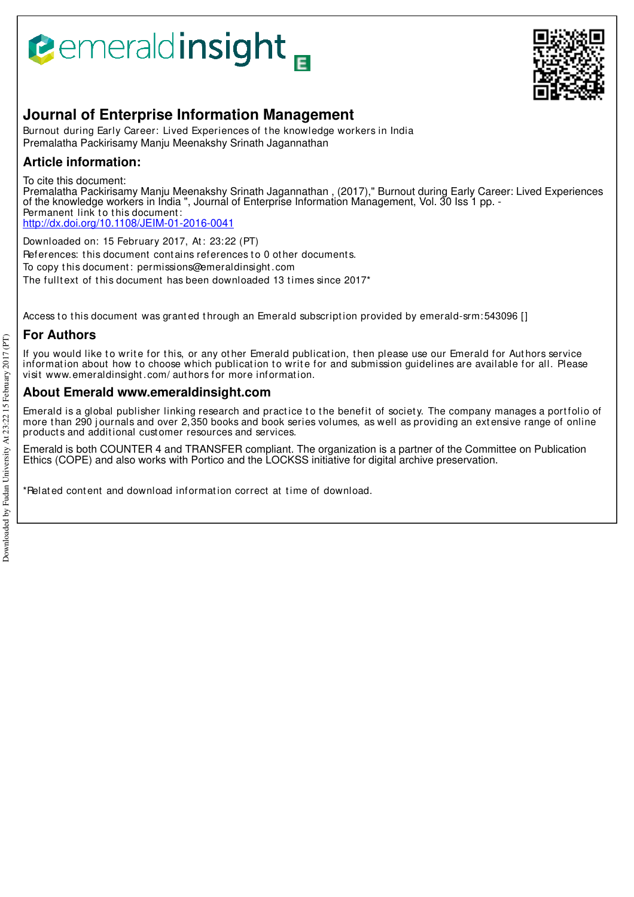# **Bemeraldinsight**



## **Journal of Enterprise Information Management**

Burnout during Early Career: Lived Experiences of t he knowledge workers in India Premalatha Packirisamy Manju Meenakshy Srinath Jagannathan

## **Article information:**

To cite this document:

Premalatha Packirisamy Manju Meenakshy Srinath Jagannathan , (2017)," Burnout during Early Career: Lived Experiences of the knowledge workers in India ", Journal of Enterprise Information Management, Vol. 30 Iss 1 pp. - Permanent link to this document: http://dx.doi.org/10.1108/JEIM-01-2016-0041

Downloaded on: 15 February 2017, At : 23:22 (PT) References: this document contains references to 0 other documents. To copy t his document : permissions@emeraldinsight .com The fulltext of this document has been downloaded 13 times since 2017<sup>\*</sup>

Access to this document was granted through an Emerald subscription provided by emerald-srm:543096 []

## **For Authors**

If you would like to write for this, or any other Emerald publication, then please use our Emerald for Authors service information about how to choose which publication to write for and submission guidelines are available for all. Please visit www.emeraldinsight .com/ aut hors for more informat ion.

### **About Emerald www.emeraldinsight.com**

Emerald is a global publisher linking research and practice to the benefit of society. The company manages a portfolio of more than 290 journals and over 2,350 books and book series volumes, as well as providing an extensive range of online product s and addit ional cust omer resources and services.

Emerald is both COUNTER 4 and TRANSFER compliant. The organization is a partner of the Committee on Publication Ethics (COPE) and also works with Portico and the LOCKSS initiative for digital archive preservation.

\*Related content and download information correct at time of download.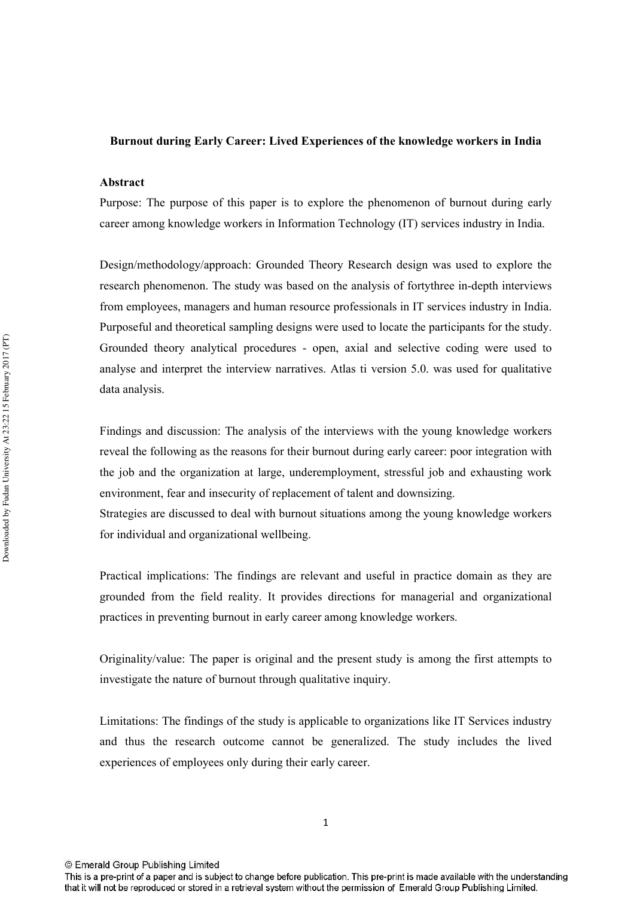#### Burnout during Early Career: Lived Experiences of the knowledge workers in India

#### Abstract

Purpose: The purpose of this paper is to explore the phenomenon of burnout during early career among knowledge workers in Information Technology (IT) services industry in India.

Design/methodology/approach: Grounded Theory Research design was used to explore the research phenomenon. The study was based on the analysis of forty three in-depth interviews from employees, managers and human resource professionals in IT services industry in India. Purposeful and theoretical sampling designs were used to locate the participants for the study. Grounded theory analytical procedures - open, axial and selective coding were used to analyse and interpret the interview narratives. Atlas ti version 5.0, was used for qualitative data analysis.

Findings and discussion: The analysis of the interviews with the young knowledge workers reveal the following as the reasons for their burnout during early career; poor integration with the job and the organization at large, underemployment, stressful job and exhausting work environment, fear and insecurity of replacement of talent and downsizing.

Strategies are discussed to deal with burnout situations among the young knowledge workers for individual and organizational wellbeing.

Practical implications: The findings are relevant and useful in practice domain as they are grounded from the field reality. It provides directions for managerial and organizational practices in preventing burnout in early career among knowledge workers.

Originality/value: The paper is original and the present study is among the first attempts to investigate the nature of burnout through qualitative inquiry.

Limitations: The findings of the study is applicable to organizations like IT Services industry and thus the research outcome cannot be generalized. The study includes the lived experiences of employees only during their early career.

© Emerald Group Publishing Limited

This is a pre-print of a paper and is subject to change before publication. This pre-print is made available with the understanding that it will not be reproduced or stored in a retrieval system without the permission of Emerald Group Publishing Limited.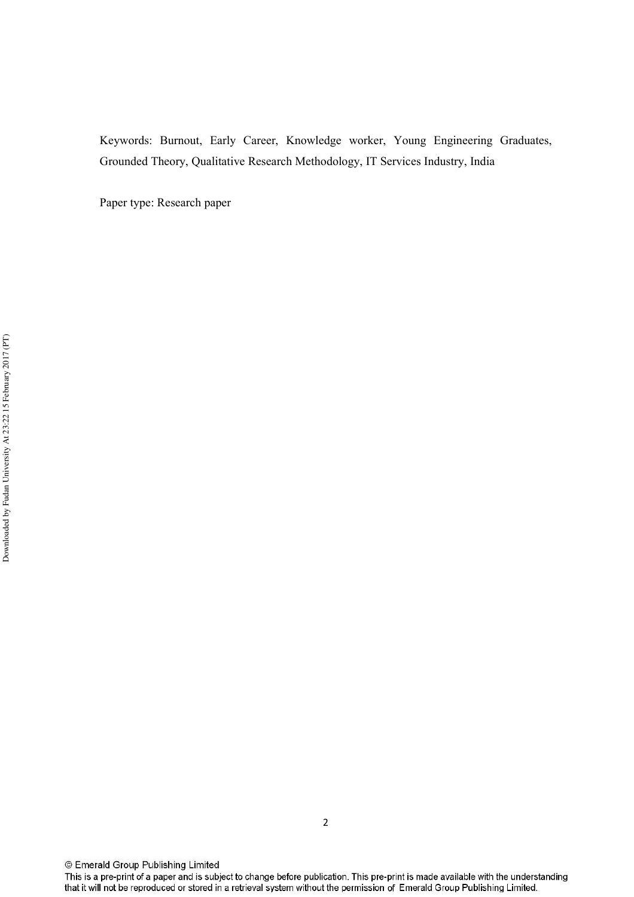Keywords: Burnout, Early Career, Knowledge worker, Young Engineering Graduates, Grounded Theory, Qualitative Research Methodology, IT Services Industry, India

Paper type: Research paper

© Emerald Group Publishing Limited

This is a pre-print of a paper and is subject to change before publication. This pre-print is made available with the understanding that it will not be reproduced or stored in a retrieval system without the permission of Emerald Group Publishing Limited.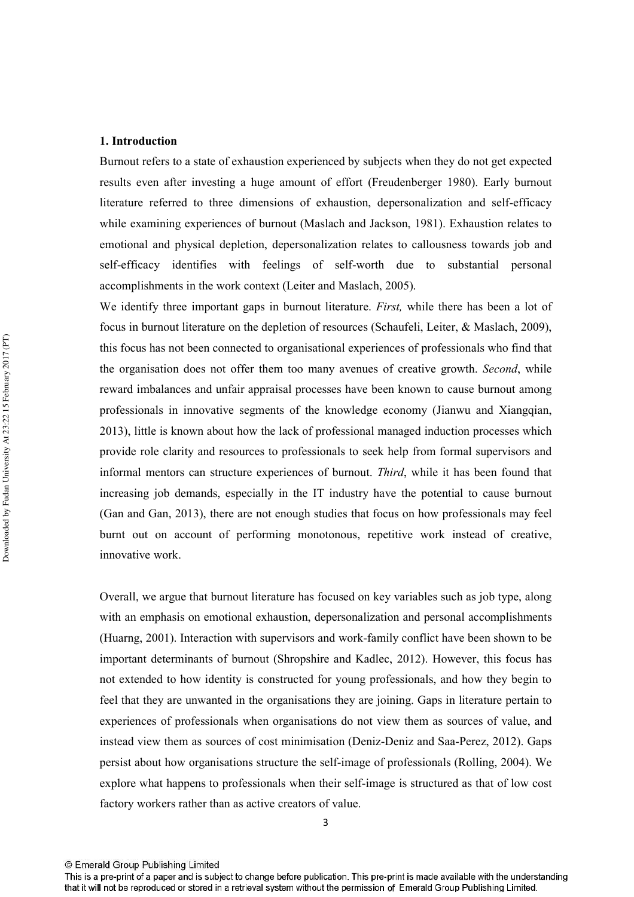#### 1. Introduction

Burnout refers to a state of exhaustion experienced by subjects when they do not get expected results even after investing a huge amount of effort (Freudenberger 1980). Early burnout literature referred to three dimensions of exhaustion, depersonalization and self-efficacy while examining experiences of burnout (Maslach and Jackson, 1981). Exhaustion relates to emotional and physical depletion, depersonalization relates to callousness towards job and self-efficacy identifies with feelings of self-worth due to substantial personal accomplishments in the work context (Leiter and Maslach, 2005).

We identify three important gaps in burnout literature. *First*, while there has been a lot of focus in burnout literature on the depletion of resources (Schaufeli, Leiter, & Maslach, 2009), this focus has not been connected to organisational experiences of professionals who find that the organisation does not offer them too many avenues of creative growth. Second, while reward imbalances and unfair appraisal processes have been known to cause burnout among professionals in innovative segments of the knowledge economy (Jianwu and Xiangqian, 2013), little is known about how the lack of professional managed induction processes which provide role clarity and resources to professionals to seek help from formal supervisors and informal mentors can structure experiences of burnout. Third, while it has been found that increasing job demands, especially in the IT industry have the potential to cause burnout (Gan and Gan, 2013), there are not enough studies that focus on how professionals may feel burnt out on account of performing monotonous, repetitive work instead of creative. innovative work.

Overall, we argue that burnout literature has focused on key variables such as job type, along with an emphasis on emotional exhaustion, depersonalization and personal accomplishments (Huarng, 2001). Interaction with supervisors and work-family conflict have been shown to be important determinants of burnout (Shropshire and Kadlec, 2012). However, this focus has not extended to how identity is constructed for young professionals, and how they begin to feel that they are unwanted in the organisations they are joining. Gaps in literature pertain to experiences of professionals when organisations do not view them as sources of value, and instead view them as sources of cost minimisation (Deniz-Deniz and Saa-Perez, 2012). Gaps persist about how organisations structure the self-image of professionals (Rolling, 2004). We explore what happens to professionals when their self-image is structured as that of low cost factory workers rather than as active creators of value.

This is a pre-print of a paper and is subject to change before publication. This pre-print is made available with the understanding that it will not be reproduced or stored in a retrieval system without the permission of Emerald Group Publishing Limited.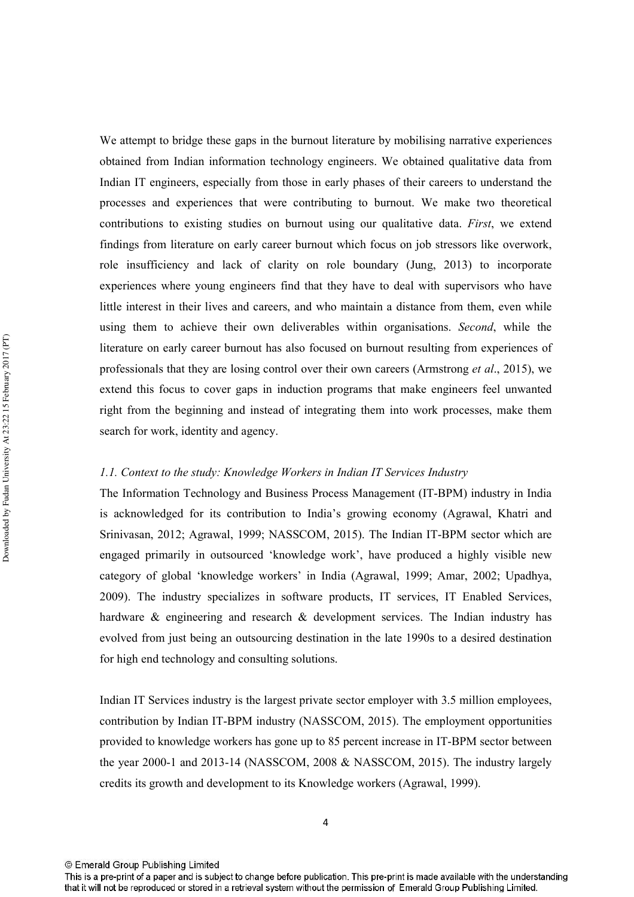We attempt to bridge these gaps in the burnout literature by mobilising narrative experiences obtained from Indian information technology engineers. We obtained qualitative data from Indian IT engineers, especially from those in early phases of their careers to understand the processes and experiences that were contributing to burnout. We make two theoretical contributions to existing studies on burnout using our qualitative data. First, we extend findings from literature on early career burnout which focus on job stressors like overwork, role insufficiency and lack of clarity on role boundary (Jung, 2013) to incorporate experiences where young engineers find that they have to deal with supervisors who have little interest in their lives and careers, and who maintain a distance from them, even while using them to achieve their own deliverables within organisations. Second, while the literature on early career burnout has also focused on burnout resulting from experiences of professionals that they are losing control over their own careers (Armstrong *et al.*, 2015), we extend this focus to cover gaps in induction programs that make engineers feel unwanted right from the beginning and instead of integrating them into work processes, make them search for work, identity and agency.

#### 1.1. Context to the study: Knowledge Workers in Indian IT Services Industry

The Information Technology and Business Process Management (IT-BPM) industry in India is acknowledged for its contribution to India's growing economy (Agrawal, Khatri and Srinivasan, 2012; Agrawal, 1999; NASSCOM, 2015). The Indian IT-BPM sector which are engaged primarily in outsourced 'knowledge work', have produced a highly visible new category of global 'knowledge workers' in India (Agrawal, 1999; Amar, 2002; Upadhya, 2009). The industry specializes in software products, IT services, IT Enabled Services, hardware & engineering and research & development services. The Indian industry has evolved from just being an outsourcing destination in the late 1990s to a desired destination for high end technology and consulting solutions.

Indian IT Services industry is the largest private sector employer with 3.5 million employees, contribution by Indian IT-BPM industry (NASSCOM, 2015). The employment opportunities provided to knowledge workers has gone up to 85 percent increase in IT-BPM sector between the year 2000-1 and 2013-14 (NASSCOM, 2008 & NASSCOM, 2015). The industry largely credits its growth and development to its Knowledge workers (Agrawal, 1999).

<sup>©</sup> Emerald Group Publishing Limited

This is a pre-print of a paper and is subject to change before publication. This pre-print is made available with the understanding that it will not be reproduced or stored in a retrieval system without the permission of Emerald Group Publishing Limited.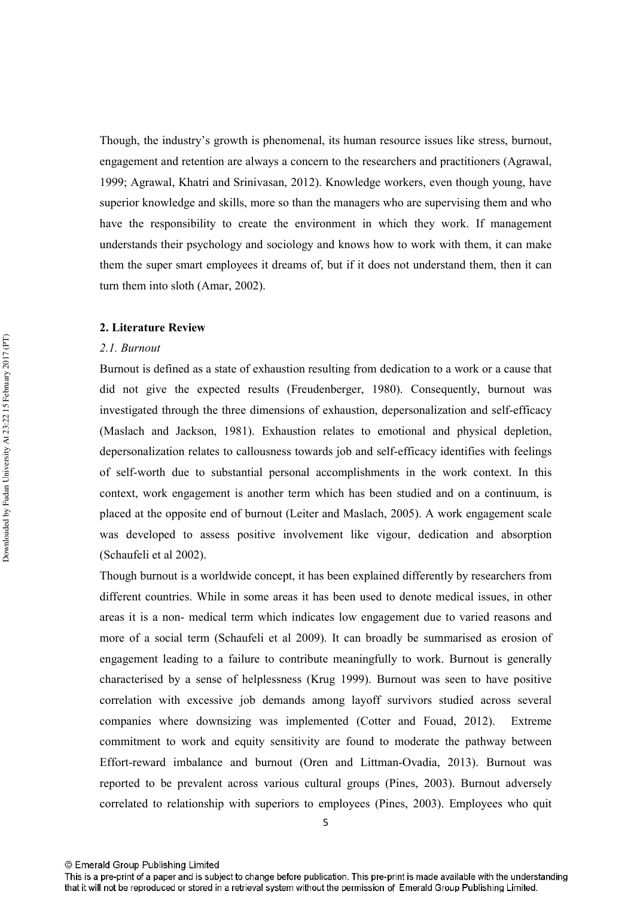Though, the industry's growth is phenomenal, its human resource issues like stress, burnout, engagement and retention are always a concern to the researchers and practitioners (Agrawal, 1999; Agrawal, Khatri and Srinivasan, 2012). Knowledge workers, even though young, have superior knowledge and skills, more so than the managers who are supervising them and who have the responsibility to create the environment in which they work. If management understands their psychology and sociology and knows how to work with them, it can make them the super smart employees it dreams of, but if it does not understand them, then it can turn them into sloth (Amar, 2002).

#### 2. Literature Review

#### 2.1. Burnout

Burnout is defined as a state of exhaustion resulting from dedication to a work or a cause that did not give the expected results (Freudenberger, 1980). Consequently, burnout was investigated through the three dimensions of exhaustion, depersonalization and self-efficacy (Maslach and Jackson, 1981). Exhaustion relates to emotional and physical depletion, depersonalization relates to callousness towards job and self-efficacy identifies with feelings of self-worth due to substantial personal accomplishments in the work context. In this context, work engagement is another term which has been studied and on a continuum, is placed at the opposite end of burnout (Leiter and Maslach, 2005). A work engagement scale was developed to assess positive involvement like vigour, dedication and absorption (Schaufeli et al 2002).

Though burnout is a worldwide concept, it has been explained differently by researchers from different countries. While in some areas it has been used to denote medical issues, in other areas it is a non- medical term which indicates low engagement due to varied reasons and more of a social term (Schaufeli et al 2009). It can broadly be summarised as erosion of engagement leading to a failure to contribute meaningfully to work. Burnout is generally characterised by a sense of helplessness (Krug 1999). Burnout was seen to have positive correlation with excessive job demands among layoff survivors studied across several companies where downsizing was implemented (Cotter and Fouad, 2012). Extreme commitment to work and equity sensitivity are found to moderate the pathway between Effort-reward imbalance and burnout (Oren and Littman-Ovadia, 2013). Burnout was reported to be prevalent across various cultural groups (Pines, 2003). Burnout adversely correlated to relationship with superiors to employees (Pines, 2003). Employees who quit

This is a pre-print of a paper and is subject to change before publication. This pre-print is made available with the understanding that it will not be reproduced or stored in a retrieval system without the permission of Emerald Group Publishing Limited.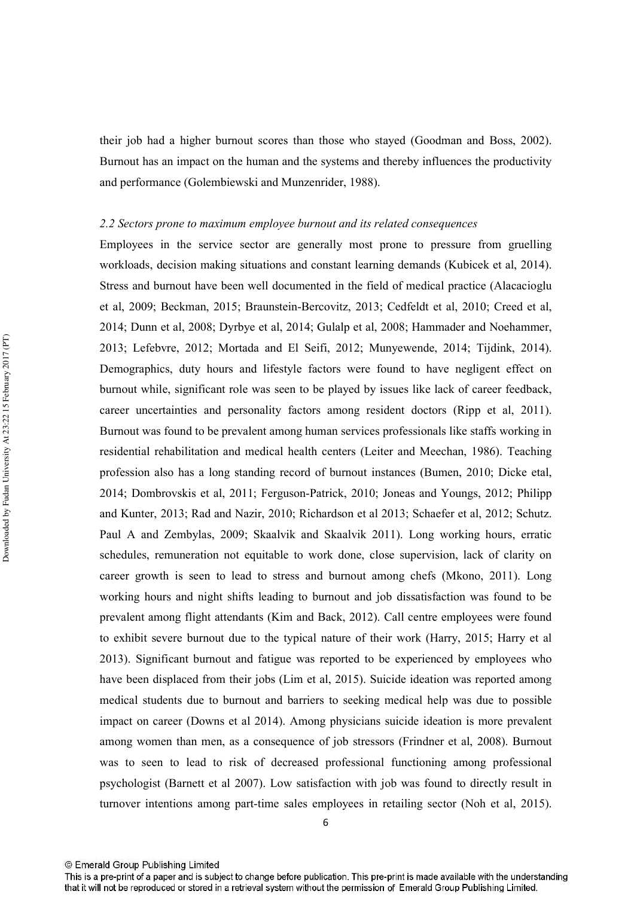their job had a higher burnout scores than those who stayed (Goodman and Boss, 2002). Burnout has an impact on the human and the systems and thereby influences the productivity and performance (Golembiewski and Munzenrider, 1988).

#### 2.2 Sectors prone to maximum employee burnout and its related consequences

Employees in the service sector are generally most prone to pressure from gruelling workloads, decision making situations and constant learning demands (Kubicek et al. 2014). Stress and burnout have been well documented in the field of medical practice (Alacacioglu et al, 2009; Beckman, 2015; Braunstein-Bercovitz, 2013; Cedfeldt et al, 2010; Creed et al, 2014; Dunn et al. 2008; Dyrbye et al. 2014; Gulalp et al. 2008; Hammader and Noehammer. 2013; Lefebvre, 2012; Mortada and El Seifi, 2012; Munyewende, 2014; Tijdink, 2014). Demographics, duty hours and lifestyle factors were found to have negligent effect on burnout while, significant role was seen to be played by issues like lack of career feedback, career uncertainties and personality factors among resident doctors (Ripp et al. 2011). Burnout was found to be prevalent among human services professionals like staffs working in residential rehabilitation and medical health centers (Leiter and Meechan, 1986). Teaching profession also has a long standing record of burnout instances (Bumen, 2010; Dicke etal, 2014; Dombrovskis et al, 2011; Ferguson-Patrick, 2010; Joneas and Youngs, 2012; Philipp and Kunter, 2013; Rad and Nazir, 2010; Richardson et al 2013; Schaefer et al, 2012; Schutz. Paul A and Zembylas, 2009; Skaalvik and Skaalvik 2011). Long working hours, erratic schedules, remuneration not equitable to work done, close supervision, lack of clarity on career growth is seen to lead to stress and burnout among chefs (Mkono, 2011). Long working hours and night shifts leading to burnout and job dissatisfaction was found to be prevalent among flight attendants (Kim and Back, 2012). Call centre employees were found to exhibit severe burnout due to the typical nature of their work (Harry, 2015; Harry et al 2013). Significant burnout and fatigue was reported to be experienced by employees who have been displaced from their jobs (Lim et al, 2015). Suicide ideation was reported among medical students due to burnout and barriers to seeking medical help was due to possible impact on career (Downs et al 2014). Among physicians suicide ideation is more prevalent among women than men, as a consequence of job stressors (Frindner et al, 2008). Burnout was to seen to lead to risk of decreased professional functioning among professional psychologist (Barnett et al 2007). Low satisfaction with job was found to directly result in turnover intentions among part-time sales employees in retailing sector (Noh et al. 2015).

This is a pre-print of a paper and is subject to change before publication. This pre-print is made available with the understanding that it will not be reproduced or stored in a retrieval system without the permission of Emerald Group Publishing Limited.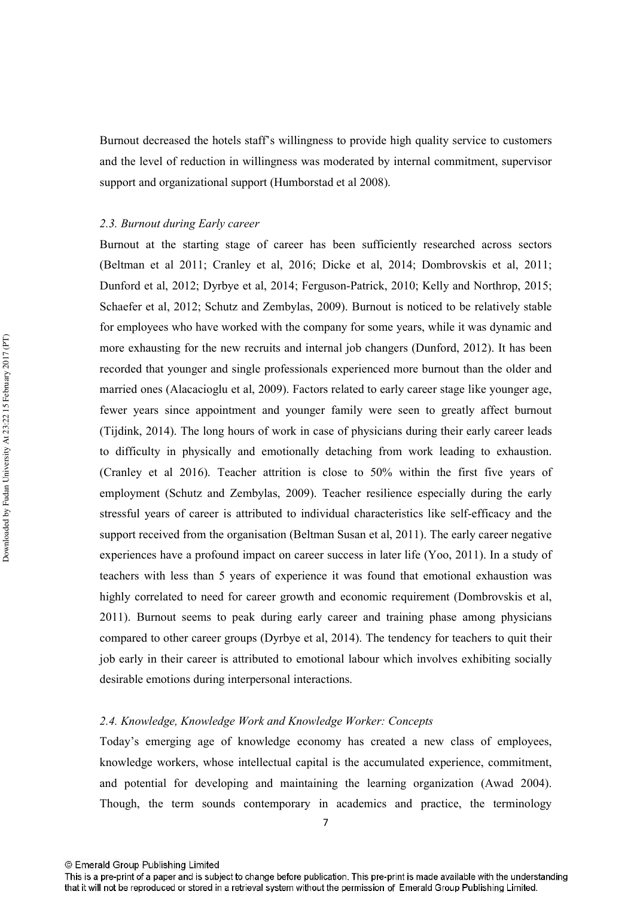Burnout decreased the hotels staff's willingness to provide high quality service to customers and the level of reduction in willingness was moderated by internal commitment, supervisor support and organizational support (Humborstad et al 2008).

#### 2.3. Burnout during Early career

Burnout at the starting stage of career has been sufficiently researched across sectors (Beltman et al 2011; Cranley et al, 2016; Dicke et al, 2014; Dombrovskis et al, 2011; Dunford et al. 2012; Dyrbye et al. 2014; Ferguson-Patrick, 2010; Kelly and Northrop, 2015; Schaefer et al, 2012; Schutz and Zembylas, 2009). Burnout is noticed to be relatively stable for employees who have worked with the company for some years, while it was dynamic and more exhausting for the new recruits and internal job changers (Dunford, 2012). It has been recorded that younger and single professionals experienced more burnout than the older and married ones (Alacacioglu et al, 2009). Factors related to early career stage like younger age, fewer years since appointment and younger family were seen to greatly affect burnout (Tijdink, 2014). The long hours of work in case of physicians during their early career leads to difficulty in physically and emotionally detaching from work leading to exhaustion. (Cranley et al 2016). Teacher attrition is close to 50% within the first five years of employment (Schutz and Zembylas, 2009). Teacher resilience especially during the early stressful years of career is attributed to individual characteristics like self-efficacy and the support received from the organisation (Beltman Susan et al, 2011). The early career negative experiences have a profound impact on career success in later life (Yoo, 2011). In a study of teachers with less than 5 years of experience it was found that emotional exhaustion was highly correlated to need for career growth and economic requirement (Dombrovskis et al. 2011). Burnout seems to peak during early career and training phase among physicians compared to other career groups (Dyrbye et al, 2014). The tendency for teachers to quit their job early in their career is attributed to emotional labour which involves exhibiting socially desirable emotions during interpersonal interactions.

#### 2.4. Knowledge, Knowledge Work and Knowledge Worker: Concepts

Today's emerging age of knowledge economy has created a new class of employees, knowledge workers, whose intellectual capital is the accumulated experience, commitment, and potential for developing and maintaining the learning organization (Awad 2004). Though, the term sounds contemporary in academics and practice, the terminology

This is a pre-print of a paper and is subject to change before publication. This pre-print is made available with the understanding that it will not be reproduced or stored in a retrieval system without the permission of Emerald Group Publishing Limited.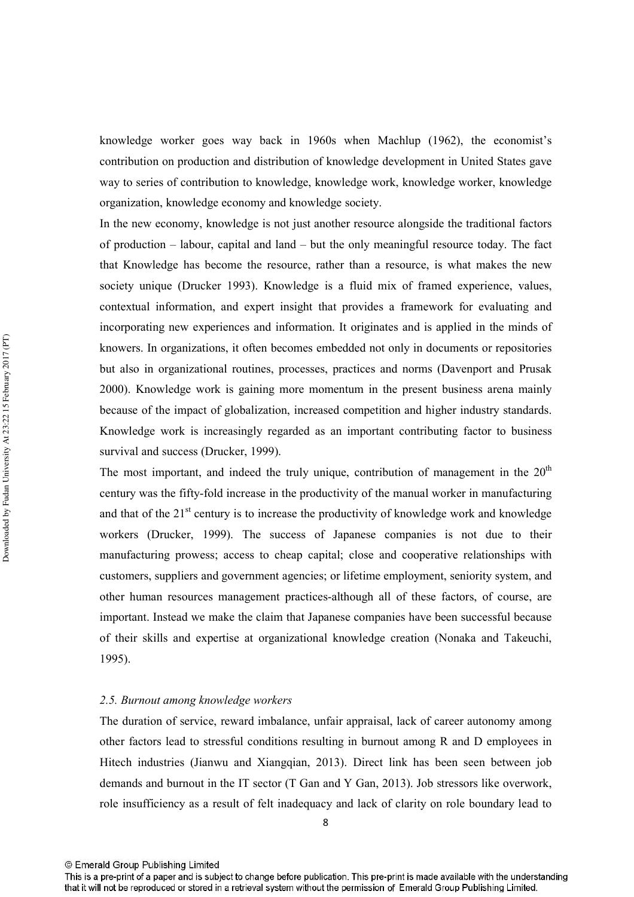knowledge worker goes way back in 1960s when Machlup (1962), the economist's contribution on production and distribution of knowledge development in United States gave way to series of contribution to knowledge, knowledge work, knowledge worker, knowledge organization, knowledge economy and knowledge society.

In the new economy, knowledge is not just another resource alongside the traditional factors of production – labour, capital and land – but the only meaningful resource today. The fact that Knowledge has become the resource, rather than a resource, is what makes the new society unique (Drucker 1993). Knowledge is a fluid mix of framed experience, values, contextual information, and expert insight that provides a framework for evaluating and incorporating new experiences and information. It originates and is applied in the minds of knowers. In organizations, it often becomes embedded not only in documents or repositories but also in organizational routines, processes, practices and norms (Davenport and Prusak 2000). Knowledge work is gaining more momentum in the present business arena mainly because of the impact of globalization, increased competition and higher industry standards. Knowledge work is increasingly regarded as an important contributing factor to business survival and success (Drucker, 1999).

The most important, and indeed the truly unique, contribution of management in the 20<sup>th</sup> century was the fifty-fold increase in the productivity of the manual worker in manufacturing and that of the 21<sup>st</sup> century is to increase the productivity of knowledge work and knowledge workers (Drucker, 1999). The success of Japanese companies is not due to their manufacturing prowess; access to cheap capital; close and cooperative relationships with customers, suppliers and government agencies; or lifetime employment, seniority system, and other human resources management practices-although all of these factors, of course, are important. Instead we make the claim that Japanese companies have been successful because of their skills and expertise at organizational knowledge creation (Nonaka and Takeuchi,  $1995$ ).

#### 2.5. Burnout among knowledge workers

The duration of service, reward imbalance, unfair appraisal, lack of career autonomy among other factors lead to stressful conditions resulting in burnout among R and D employees in Hitech industries (Jianwu and Xiangqian, 2013). Direct link has been seen between job demands and burnout in the IT sector (T Gan and Y Gan, 2013). Job stressors like overwork, role insufficiency as a result of felt inadequacy and lack of clarity on role boundary lead to

This is a pre-print of a paper and is subject to change before publication. This pre-print is made available with the understanding that it will not be reproduced or stored in a retrieval system without the permission of Emerald Group Publishing Limited.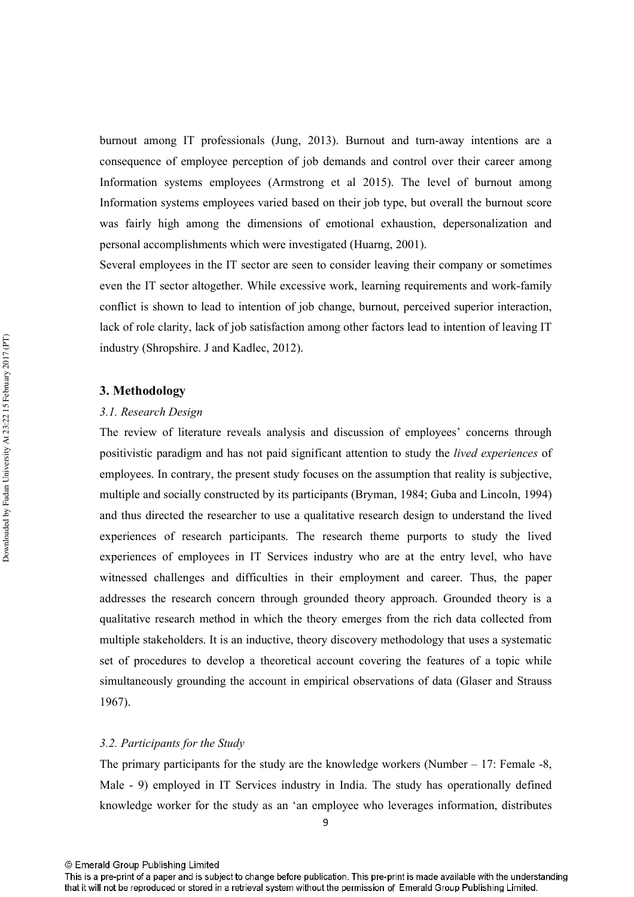burnout among IT professionals (Jung, 2013). Burnout and turn-away intentions are a consequence of employee perception of job demands and control over their career among Information systems employees (Armstrong et al 2015). The level of burnout among Information systems employees varied based on their job type, but overall the burnout score was fairly high among the dimensions of emotional exhaustion, depersonalization and personal accomplishments which were investigated (Huarng, 2001).

Several employees in the IT sector are seen to consider leaving their company or sometimes even the IT sector altogether. While excessive work, learning requirements and work-family conflict is shown to lead to intention of job change, burnout, perceived superior interaction, lack of role clarity, lack of job satisfaction among other factors lead to intention of leaving IT industry (Shropshire. J and Kadlec, 2012).

#### 3. Methodology

#### 3.1. Research Design

The review of literature reveals analysis and discussion of employees' concerns through positivistic paradigm and has not paid significant attention to study the *lived experiences* of employees. In contrary, the present study focuses on the assumption that reality is subjective, multiple and socially constructed by its participants (Bryman, 1984; Guba and Lincoln, 1994) and thus directed the researcher to use a qualitative research design to understand the lived experiences of research participants. The research theme purports to study the lived experiences of employees in IT Services industry who are at the entry level, who have witnessed challenges and difficulties in their employment and career. Thus, the paper addresses the research concern through grounded theory approach. Grounded theory is a qualitative research method in which the theory emerges from the rich data collected from multiple stakeholders. It is an inductive, theory discovery methodology that uses a systematic set of procedures to develop a theoretical account covering the features of a topic while simultaneously grounding the account in empirical observations of data (Glaser and Strauss  $1967$ ).

#### 3.2. Participants for the Study

The primary participants for the study are the knowledge workers (Number  $-17$ : Female -8, Male - 9) employed in IT Services industry in India. The study has operationally defined knowledge worker for the study as an 'an employee who leverages information, distributes

<sup>©</sup> Emerald Group Publishing Limited

This is a pre-print of a paper and is subject to change before publication. This pre-print is made available with the understanding that it will not be reproduced or stored in a retrieval system without the permission of Emerald Group Publishing Limited.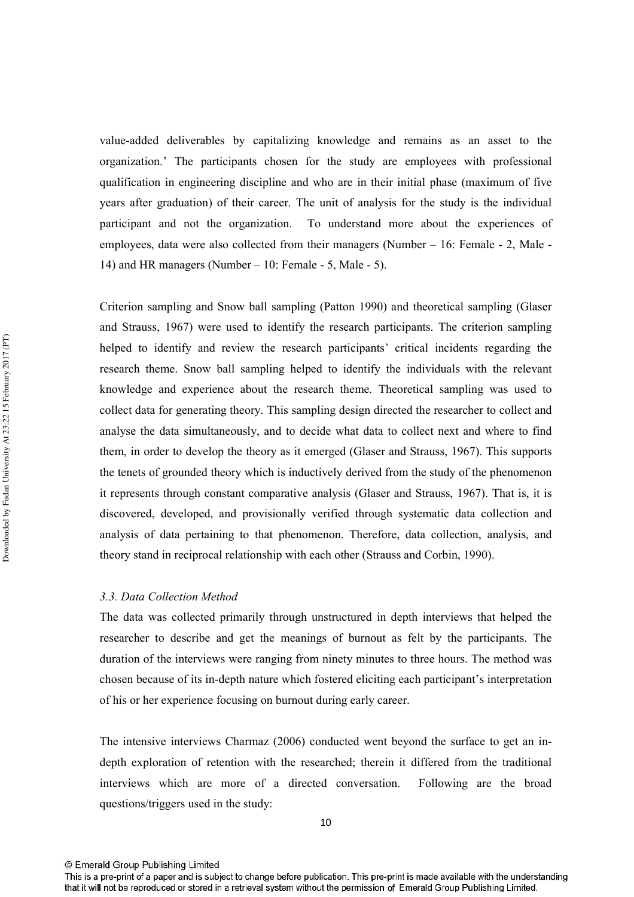value-added deliverables by capitalizing knowledge and remains as an asset to the organization.' The participants chosen for the study are employees with professional qualification in engineering discipline and who are in their initial phase (maximum of five years after graduation) of their career. The unit of analysis for the study is the individual participant and not the organization. To understand more about the experiences of employees, data were also collected from their managers (Number – 16: Female - 2, Male -14) and HR managers (Number – 10: Female - 5, Male - 5).

Criterion sampling and Snow ball sampling (Patton 1990) and theoretical sampling (Glaser and Strauss, 1967) were used to identify the research participants. The criterion sampling helped to identify and review the research participants' critical incidents regarding the research theme. Snow ball sampling helped to identify the individuals with the relevant knowledge and experience about the research theme. Theoretical sampling was used to collect data for generating theory. This sampling design directed the researcher to collect and analyse the data simultaneously, and to decide what data to collect next and where to find them, in order to develop the theory as it emerged (Glaser and Strauss, 1967). This supports the tenets of grounded theory which is inductively derived from the study of the phenomenon it represents through constant comparative analysis (Glaser and Strauss, 1967). That is, it is discovered, developed, and provisionally verified through systematic data collection and analysis of data pertaining to that phenomenon. Therefore, data collection, analysis, and theory stand in reciprocal relationship with each other (Strauss and Corbin, 1990).

#### 3.3. Data Collection Method

The data was collected primarily through unstructured in depth interviews that helped the researcher to describe and get the meanings of burnout as felt by the participants. The duration of the interviews were ranging from ninety minutes to three hours. The method was chosen because of its in-depth nature which fostered eliciting each participant's interpretation of his or her experience focusing on burnout during early career.

The intensive interviews Charmaz (2006) conducted went beyond the surface to get an indepth exploration of retention with the researched; therein it differed from the traditional interviews which are more of a directed conversation. Following are the broad questions/triggers used in the study:

<sup>©</sup> Emerald Group Publishing Limited

This is a pre-print of a paper and is subject to change before publication. This pre-print is made available with the understanding that it will not be reproduced or stored in a retrieval system without the permission of Emerald Group Publishing Limited.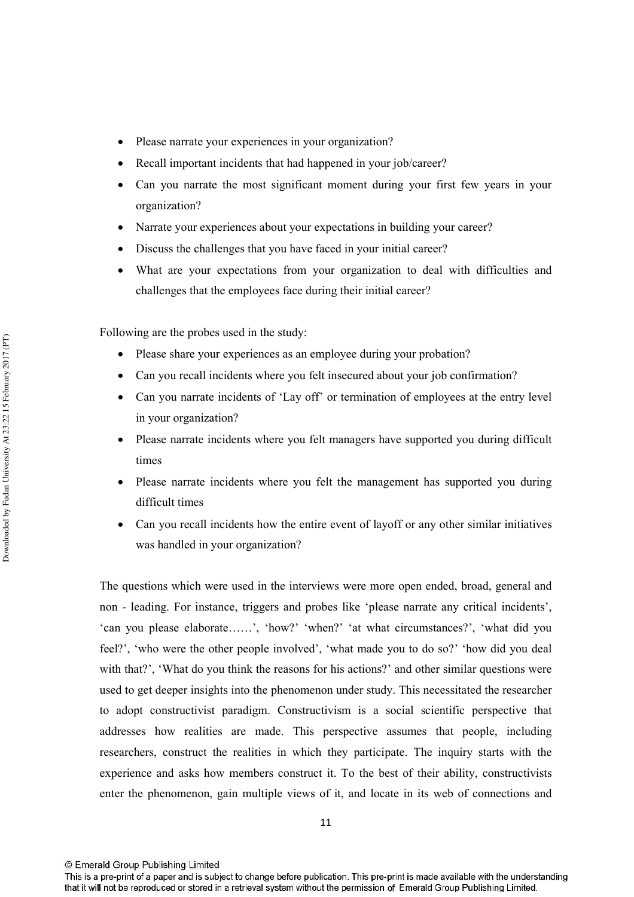- Please narrate your experiences in your organization?
- Recall important incidents that had happened in your job/career?
- Can you narrate the most significant moment during your first few years in your organization?
- Narrate your experiences about your expectations in building your career?
- Discuss the challenges that you have faced in your initial career?
- What are your expectations from your organization to deal with difficulties and challenges that the employees face during their initial career?

Following are the probes used in the study:

- Please share your experiences as an employee during your probation?
- Can you recall incidents where you felt insecured about your job confirmation?
- Can you narrate incidents of 'Lay off' or termination of employees at the entry level in your organization?
- Please narrate incidents where you felt managers have supported you during difficult times
- Please narrate incidents where you felt the management has supported you during difficult times
- Can you recall incidents how the entire event of layoff or any other similar initiatives was handled in your organization?

The questions which were used in the interviews were more open ended, broad, general and non - leading. For instance, triggers and probes like 'please narrate any critical incidents', 'can you please elaborate......', 'how?' 'when?' 'at what circumstances?', 'what did you feel?', 'who were the other people involved', 'what made you to do so?' 'how did you deal with that?', 'What do you think the reasons for his actions?' and other similar questions were used to get deeper insights into the phenomenon under study. This necessitated the researcher to adopt constructivist paradigm. Constructivism is a social scientific perspective that addresses how realities are made. This perspective assumes that people, including researchers, construct the realities in which they participate. The inquiry starts with the experience and asks how members construct it. To the best of their ability, constructivists enter the phenomenon, gain multiple views of it, and locate in its web of connections and

© Emerald Group Publishing Limited

This is a pre-print of a paper and is subject to change before publication. This pre-print is made available with the understanding that it will not be reproduced or stored in a retrieval system without the permission of Emerald Group Publishing Limited.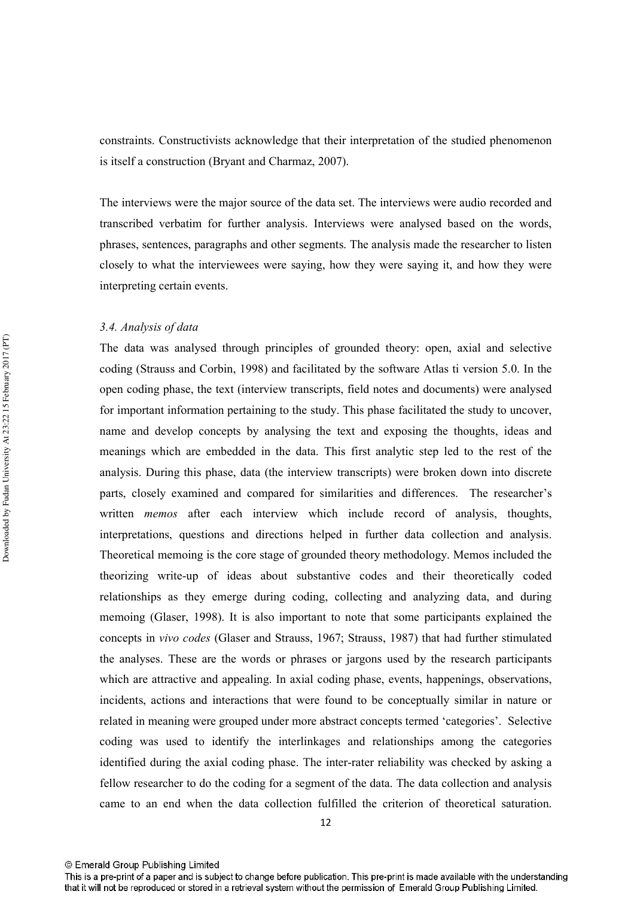constraints. Constructivists acknowledge that their interpretation of the studied phenomenon is itself a construction (Bryant and Charmaz, 2007).

The interviews were the major source of the data set. The interviews were audio recorded and transcribed verbatim for further analysis. Interviews were analysed based on the words, phrases, sentences, paragraphs and other segments. The analysis made the researcher to listen closely to what the interviewees were saying, how they were saying it, and how they were interpreting certain events.

#### 3.4. Analysis of data

The data was analysed through principles of grounded theory: open, axial and selective coding (Strauss and Corbin, 1998) and facilitated by the software Atlas ti version 5.0. In the open coding phase, the text (interview transcripts, field notes and documents) were analysed for important information pertaining to the study. This phase facilitated the study to uncover, name and develop concepts by analysing the text and exposing the thoughts, ideas and meanings which are embedded in the data. This first analytic step led to the rest of the analysis. During this phase, data (the interview transcripts) were broken down into discrete parts, closely examined and compared for similarities and differences. The researcher's written *memos* after each interview which include record of analysis, thoughts, interpretations, questions and directions helped in further data collection and analysis. Theoretical memoing is the core stage of grounded theory methodology. Memos included the theorizing write-up of ideas about substantive codes and their theoretically coded relationships as they emerge during coding, collecting and analyzing data, and during memoing (Glaser, 1998). It is also important to note that some participants explained the concepts in vivo codes (Glaser and Strauss, 1967; Strauss, 1987) that had further stimulated the analyses. These are the words or phrases or jargons used by the research participants which are attractive and appealing. In axial coding phase, events, happenings, observations, incidents, actions and interactions that were found to be conceptually similar in nature or related in meaning were grouped under more abstract concepts termed 'categories'. Selective coding was used to identify the interlinkages and relationships among the categories identified during the axial coding phase. The inter-rater reliability was checked by asking a fellow researcher to do the coding for a segment of the data. The data collection and analysis came to an end when the data collection fulfilled the criterion of theoretical saturation.

<sup>©</sup> Emerald Group Publishing Limited

This is a pre-print of a paper and is subject to change before publication. This pre-print is made available with the understanding that it will not be reproduced or stored in a retrieval system without the permission of Emerald Group Publishing Limited.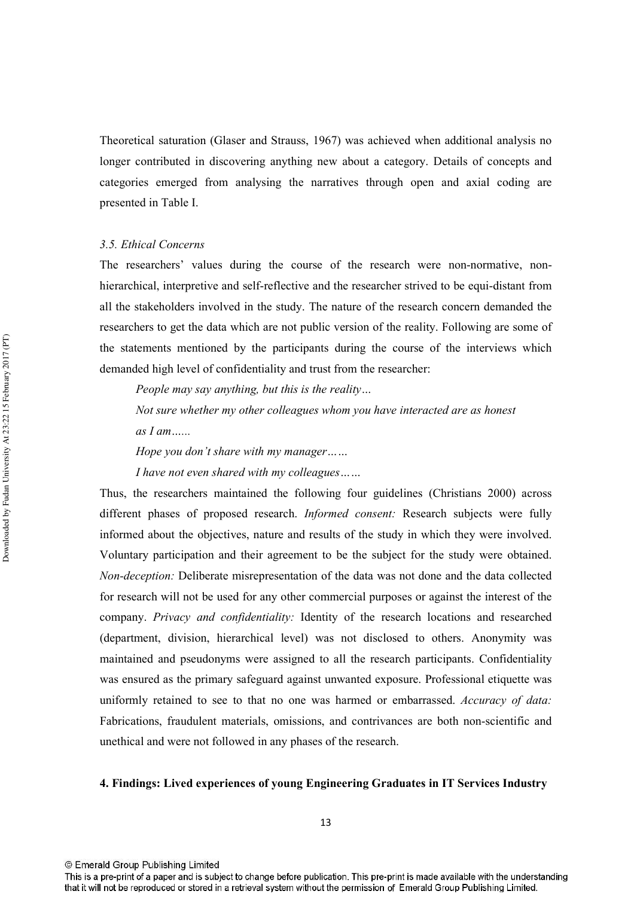Theoretical saturation (Glaser and Strauss, 1967) was achieved when additional analysis no longer contributed in discovering anything new about a category. Details of concepts and categories emerged from analysing the narratives through open and axial coding are presented in Table I.

#### 3.5. Ethical Concerns

The researchers' values during the course of the research were non-normative, nonhierarchical, interpretive and self-reflective and the researcher strived to be equi-distant from all the stakeholders involved in the study. The nature of the research concern demanded the researchers to get the data which are not public version of the reality. Following are some of the statements mentioned by the participants during the course of the interviews which demanded high level of confidentiality and trust from the researcher:

People may say anything, but this is the reality...

Not sure whether my other colleagues whom you have interacted are as honest  $as I am$ 

Hope you don't share with my manager......

I have not even shared with my colleagues......

Thus, the researchers maintained the following four guidelines (Christians 2000) across different phases of proposed research. Informed consent: Research subjects were fully informed about the objectives, nature and results of the study in which they were involved. Voluntary participation and their agreement to be the subject for the study were obtained. Non-deception: Deliberate misrepresentation of the data was not done and the data collected for research will not be used for any other commercial purposes or against the interest of the company. Privacy and confidentiality: Identity of the research locations and researched (department, division, hierarchical level) was not disclosed to others. Anonymity was maintained and pseudonyms were assigned to all the research participants. Confidentiality was ensured as the primary safeguard against unwanted exposure. Professional etiquette was uniformly retained to see to that no one was harmed or embarrassed. Accuracy of data: Fabrications, fraudulent materials, omissions, and contrivances are both non-scientific and unethical and were not followed in any phases of the research.

#### 4. Findings: Lived experiences of young Engineering Graduates in IT Services Industry

<sup>©</sup> Emerald Group Publishing Limited

This is a pre-print of a paper and is subject to change before publication. This pre-print is made available with the understanding that it will not be reproduced or stored in a retrieval system without the permission of Emerald Group Publishing Limited.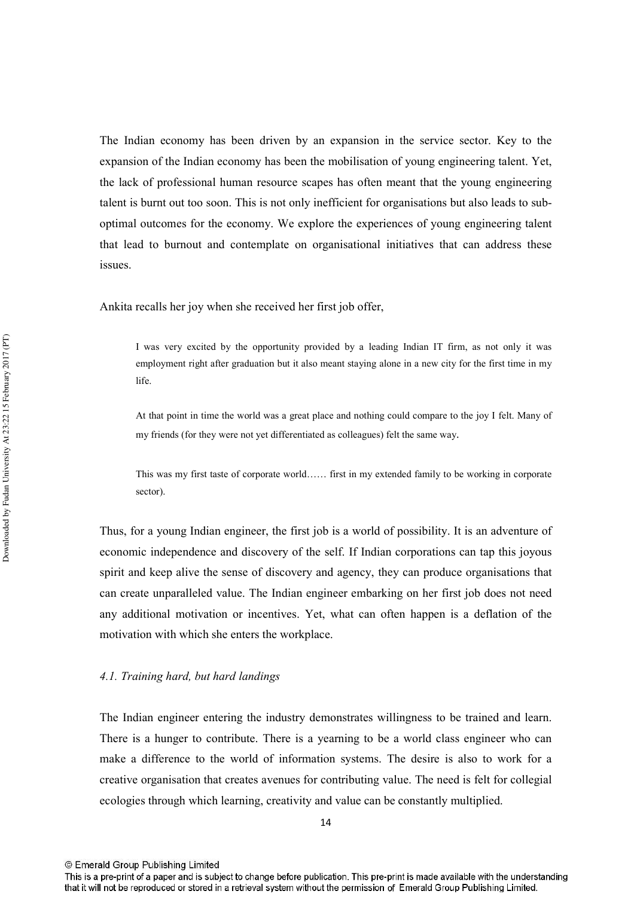The Indian economy has been driven by an expansion in the service sector. Key to the expansion of the Indian economy has been the mobilisation of young engineering talent. Yet, the lack of professional human resource scapes has often meant that the young engineering talent is burnt out too soon. This is not only inefficient for organisations but also leads to suboptimal outcomes for the economy. We explore the experiences of young engineering talent that lead to burnout and contemplate on organisational initiatives that can address these issues.

Ankita recalls her joy when she received her first job offer,

I was very excited by the opportunity provided by a leading Indian IT firm, as not only it was employment right after graduation but it also meant staying alone in a new city for the first time in my life

At that point in time the world was a great place and nothing could compare to the joy I felt. Many of my friends (for they were not yet differentiated as colleagues) felt the same way.

This was my first taste of corporate world...... first in my extended family to be working in corporate sector).

Thus, for a young Indian engineer, the first job is a world of possibility. It is an adventure of economic independence and discovery of the self. If Indian corporations can tap this joyous spirit and keep alive the sense of discovery and agency, they can produce organisations that can create unparalleled value. The Indian engineer embarking on her first job does not need any additional motivation or incentives. Yet, what can often happen is a deflation of the motivation with which she enters the workplace.

#### 4.1. Training hard, but hard landings

The Indian engineer entering the industry demonstrates willingness to be trained and learn. There is a hunger to contribute. There is a yearning to be a world class engineer who can make a difference to the world of information systems. The desire is also to work for a creative organisation that creates avenues for contributing value. The need is felt for collegial ecologies through which learning, creativity and value can be constantly multiplied.

This is a pre-print of a paper and is subject to change before publication. This pre-print is made available with the understanding that it will not be reproduced or stored in a retrieval system without the permission of Emerald Group Publishing Limited.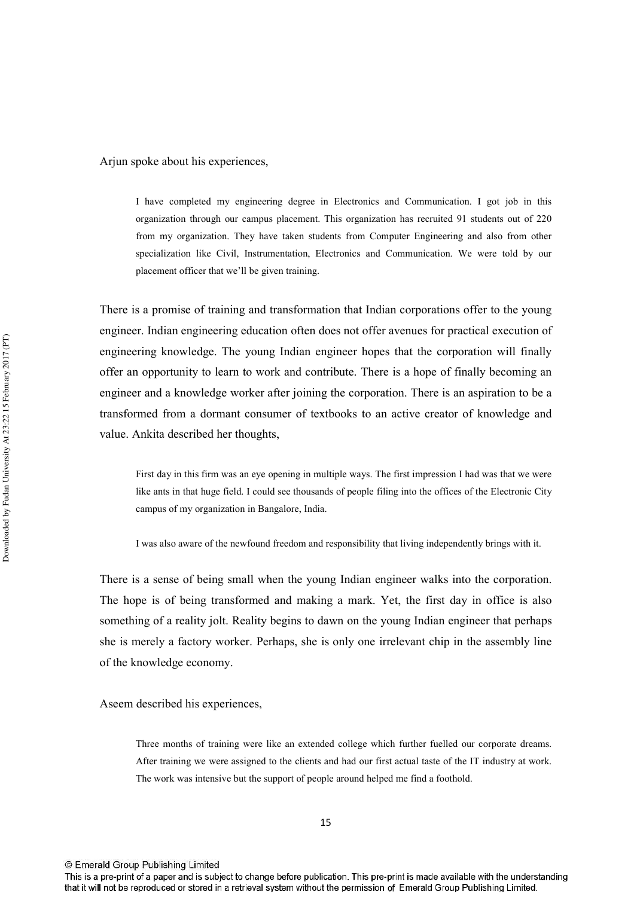Arjun spoke about his experiences,

I have completed my engineering degree in Electronics and Communication. I got job in this organization through our campus placement. This organization has recruited 91 students out of 220 from my organization. They have taken students from Computer Engineering and also from other specialization like Civil. Instrumentation. Electronics and Communication. We were told by our placement officer that we'll be given training.

There is a promise of training and transformation that Indian corporations offer to the young engineer. Indian engineering education often does not offer avenues for practical execution of engineering knowledge. The young Indian engineer hopes that the corporation will finally offer an opportunity to learn to work and contribute. There is a hope of finally becoming an engineer and a knowledge worker after joining the corporation. There is an aspiration to be a transformed from a dormant consumer of textbooks to an active creator of knowledge and value. Ankita described her thoughts,

First day in this firm was an eye opening in multiple ways. The first impression I had was that we were like ants in that huge field. I could see thousands of people filing into the offices of the Electronic City campus of my organization in Bangalore, India.

I was also aware of the newfound freedom and responsibility that living independently brings with it.

There is a sense of being small when the young Indian engineer walks into the corporation. The hope is of being transformed and making a mark. Yet, the first day in office is also something of a reality jolt. Reality begins to dawn on the young Indian engineer that perhaps she is merely a factory worker. Perhaps, she is only one irrelevant chip in the assembly line of the knowledge economy.

Aseem described his experiences,

Three months of training were like an extended college which further fuelled our corporate dreams. After training we were assigned to the clients and had our first actual taste of the IT industry at work. The work was intensive but the support of people around helped me find a foothold.

<sup>©</sup> Emerald Group Publishing Limited

This is a pre-print of a paper and is subject to change before publication. This pre-print is made available with the understanding that it will not be reproduced or stored in a retrieval system without the permission of Emerald Group Publishing Limited.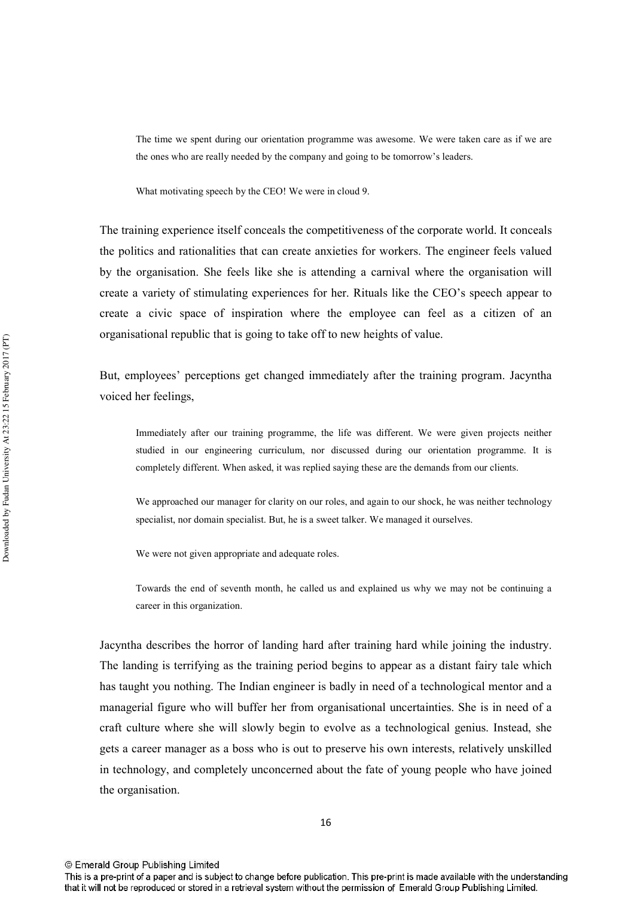The time we spent during our orientation programme was awesome. We were taken care as if we are the ones who are really needed by the company and going to be tomorrow's leaders.

What motivating speech by the CEO! We were in cloud 9.

The training experience itself conceals the competitiveness of the corporate world. It conceals the politics and rationalities that can create anxieties for workers. The engineer feels valued by the organisation. She feels like she is attending a carnival where the organisation will create a variety of stimulating experiences for her. Rituals like the CEO's speech appear to create a civic space of inspiration where the employee can feel as a citizen of an organisational republic that is going to take off to new heights of value.

But, employees' perceptions get changed immediately after the training program. Jacyntha voiced her feelings,

Immediately after our training programme, the life was different. We were given projects neither studied in our engineering curriculum, nor discussed during our orientation programme. It is completely different. When asked, it was replied saying these are the demands from our clients.

We approached our manager for clarity on our roles, and again to our shock, he was neither technology specialist, nor domain specialist. But, he is a sweet talker. We managed it ourselves.

We were not given appropriate and adequate roles.

Towards the end of seventh month, he called us and explained us why we may not be continuing a career in this organization.

Jacyntha describes the horror of landing hard after training hard while joining the industry. The landing is terrifying as the training period begins to appear as a distant fairy tale which has taught you nothing. The Indian engineer is badly in need of a technological mentor and a managerial figure who will buffer her from organisational uncertainties. She is in need of a craft culture where she will slowly begin to evolve as a technological genius. Instead, she gets a career manager as a boss who is out to preserve his own interests, relatively unskilled in technology, and completely unconcerned about the fate of young people who have joined the organisation.

This is a pre-print of a paper and is subject to change before publication. This pre-print is made available with the understanding that it will not be reproduced or stored in a retrieval system without the permission of Emerald Group Publishing Limited.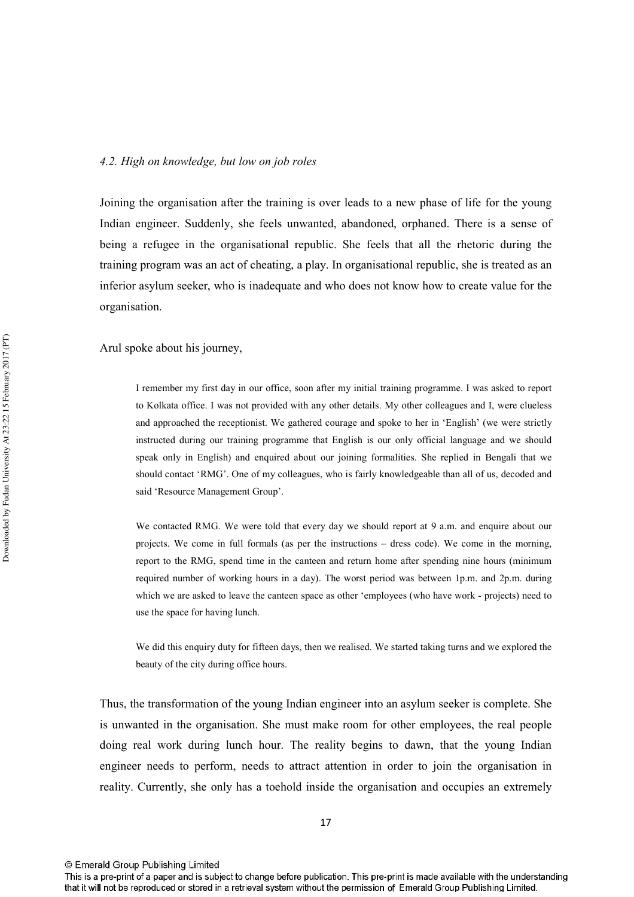#### 4.2. High on knowledge, but low on job roles

Joining the organisation after the training is over leads to a new phase of life for the young Indian engineer. Suddenly, she feels unwanted, abandoned, orphaned. There is a sense of being a refugee in the organisational republic. She feels that all the rhetoric during the training program was an act of cheating, a play. In organisational republic, she is treated as an inferior asylum seeker, who is inadequate and who does not know how to create value for the organisation.

Arul spoke about his journey,

I remember my first day in our office, soon after my initial training programme. I was asked to report to Kolkata office. I was not provided with any other details. My other colleagues and I, were clueless and approached the receptionist. We gathered courage and spoke to her in 'English' (we were strictly instructed during our training programme that English is our only official language and we should speak only in English) and enquired about our joining formalities. She replied in Bengali that we should contact 'RMG'. One of my colleagues, who is fairly knowledgeable than all of us, decoded and said 'Resource Management Group'.

We contacted RMG. We were told that every day we should report at 9 a.m. and enquire about our projects. We come in full formals (as per the instructions – dress code). We come in the morning, report to the RMG, spend time in the canteen and return home after spending nine hours (minimum required number of working hours in a day). The worst period was between 1p.m. and 2p.m. during which we are asked to leave the canteen space as other 'employees (who have work - projects) need to use the space for having lunch.

We did this enquiry duty for fifteen days, then we realised. We started taking turns and we explored the beauty of the city during office hours.

Thus, the transformation of the young Indian engineer into an asylum seeker is complete. She is unwanted in the organisation. She must make room for other employees, the real people doing real work during lunch hour. The reality begins to dawn, that the young Indian engineer needs to perform, needs to attract attention in order to join the organisation in reality. Currently, she only has a toehold inside the organisation and occupies an extremely

<sup>©</sup> Emerald Group Publishing Limited

This is a pre-print of a paper and is subject to change before publication. This pre-print is made available with the understanding that it will not be reproduced or stored in a retrieval system without the permission of Emerald Group Publishing Limited.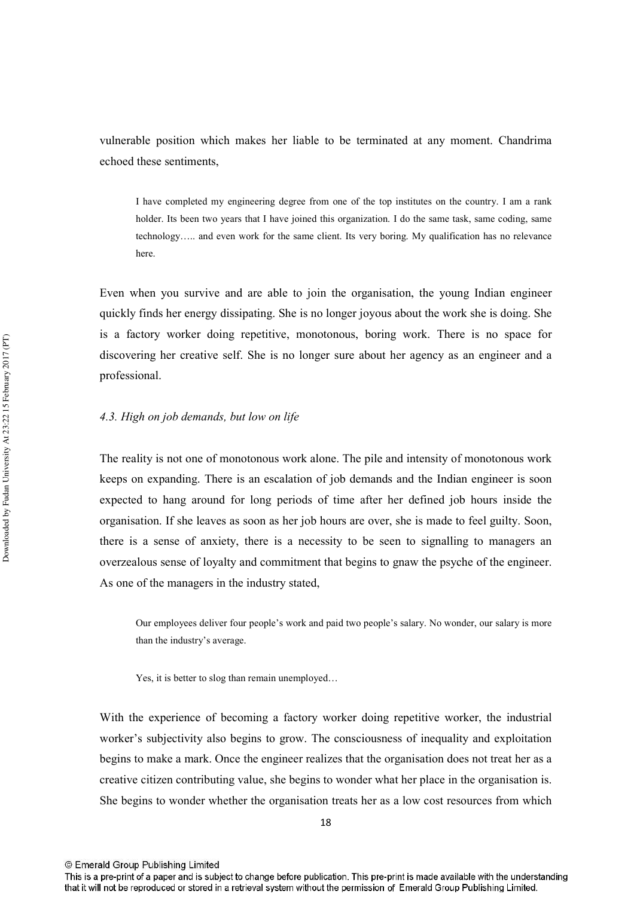vulnerable position which makes her liable to be terminated at any moment. Chandrima echoed these sentiments.

I have completed my engineering degree from one of the top institutes on the country. I am a rank holder. Its been two years that I have joined this organization. I do the same task, same coding, same technology..... and even work for the same client. Its very boring. My qualification has no relevance here

Even when you survive and are able to join the organisation, the young Indian engineer quickly finds her energy dissipating. She is no longer joyous about the work she is doing. She is a factory worker doing repetitive, monotonous, boring work. There is no space for discovering her creative self. She is no longer sure about her agency as an engineer and a professional.

#### 4.3. High on job demands, but low on life

The reality is not one of monotonous work alone. The pile and intensity of monotonous work keeps on expanding. There is an escalation of job demands and the Indian engineer is soon expected to hang around for long periods of time after her defined job hours inside the organisation. If she leaves as soon as her job hours are over, she is made to feel guilty. Soon, there is a sense of anxiety, there is a necessity to be seen to signalling to managers an overzealous sense of loyalty and commitment that begins to gnaw the psyche of the engineer. As one of the managers in the industry stated,

Our employees deliver four people's work and paid two people's salary. No wonder, our salary is more than the industry's average.

Yes, it is better to slog than remain unemployed...

With the experience of becoming a factory worker doing repetitive worker, the industrial worker's subjectivity also begins to grow. The consciousness of inequality and exploitation begins to make a mark. Once the engineer realizes that the organisation does not treat her as a creative citizen contributing value, she begins to wonder what her place in the organisation is. She begins to wonder whether the organisation treats her as a low cost resources from which

This is a pre-print of a paper and is subject to change before publication. This pre-print is made available with the understanding that it will not be reproduced or stored in a retrieval system without the permission of Emerald Group Publishing Limited.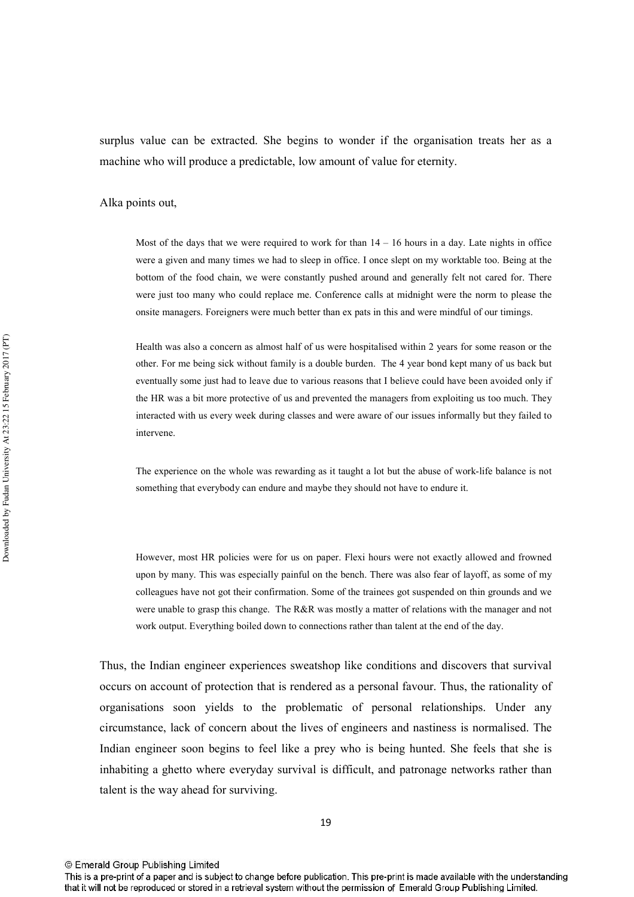surplus value can be extracted. She begins to wonder if the organisation treats her as a machine who will produce a predictable, low amount of value for eternity.

Alka points out,

Most of the days that we were required to work for than  $14 - 16$  hours in a day. Late nights in office were a given and many times we had to sleep in office. I once slept on my worktable too. Being at the bottom of the food chain, we were constantly pushed around and generally felt not cared for. There were just too many who could replace me. Conference calls at midnight were the norm to please the onsite managers. Foreigners were much better than ex pats in this and were mindful of our timings.

Health was also a concern as almost half of us were hospitalised within 2 years for some reason or the other. For me being sick without family is a double burden. The 4 year bond kept many of us back but eventually some just had to leave due to various reasons that I believe could have been avoided only if the HR was a bit more protective of us and prevented the managers from exploiting us too much. They interacted with us every week during classes and were aware of our issues informally but they failed to intervene.

The experience on the whole was rewarding as it taught a lot but the abuse of work-life balance is not something that everybody can endure and maybe they should not have to endure it.

However, most HR policies were for us on paper. Flexi hours were not exactly allowed and frowned upon by many. This was especially painful on the bench. There was also fear of layoff, as some of my colleagues have not got their confirmation. Some of the trainees got suspended on thin grounds and we were unable to grasp this change. The R&R was mostly a matter of relations with the manager and not work output. Everything boiled down to connections rather than talent at the end of the day.

Thus, the Indian engineer experiences sweatshop like conditions and discovers that survival occurs on account of protection that is rendered as a personal favour. Thus, the rationality of organisations soon vields to the problematic of personal relationships. Under any circumstance, lack of concern about the lives of engineers and nastiness is normalised. The Indian engineer soon begins to feel like a prey who is being hunted. She feels that she is inhabiting a ghetto where everyday survival is difficult, and patronage networks rather than talent is the way ahead for surviving.

<sup>©</sup> Emerald Group Publishing Limited

This is a pre-print of a paper and is subject to change before publication. This pre-print is made available with the understanding that it will not be reproduced or stored in a retrieval system without the permission of Emerald Group Publishing Limited.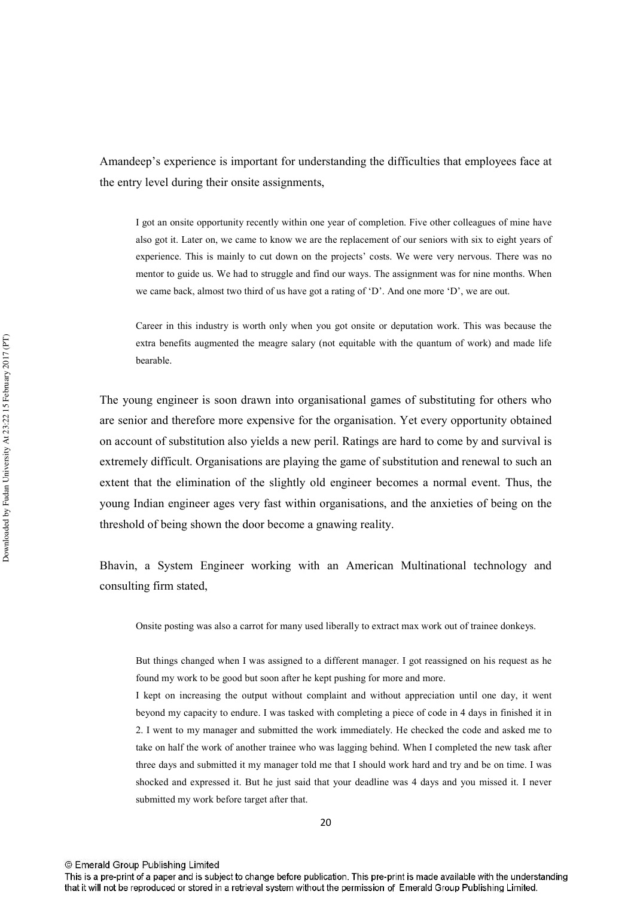Amandeep's experience is important for understanding the difficulties that employees face at the entry level during their onsite assignments.

I got an onsite opportunity recently within one year of completion. Five other colleagues of mine have also got it. Later on, we came to know we are the replacement of our seniors with six to eight years of experience. This is mainly to cut down on the projects' costs. We were very nervous. There was no mentor to guide us. We had to struggle and find our ways. The assignment was for nine months. When we came back, almost two third of us have got a rating of 'D'. And one more 'D', we are out.

Career in this industry is worth only when you got onsite or deputation work. This was because the extra benefits augmented the meagre salary (not equitable with the quantum of work) and made life bearable

The young engineer is soon drawn into organisational games of substituting for others who are senior and therefore more expensive for the organisation. Yet every opportunity obtained on account of substitution also yields a new peril. Ratings are hard to come by and survival is extremely difficult. Organisations are playing the game of substitution and renewal to such an extent that the elimination of the slightly old engineer becomes a normal event. Thus, the young Indian engineer ages very fast within organisations, and the anxieties of being on the threshold of being shown the door become a gnawing reality.

Bhavin, a System Engineer working with an American Multinational technology and consulting firm stated,

Onsite posting was also a carrot for many used liberally to extract max work out of trainee donkeys.

But things changed when I was assigned to a different manager. I got reassigned on his request as he found my work to be good but soon after he kept pushing for more and more.

I kept on increasing the output without complaint and without appreciation until one day, it went beyond my capacity to endure. I was tasked with completing a piece of code in 4 days in finished it in 2. I went to my manager and submitted the work immediately. He checked the code and asked me to take on half the work of another trainee who was lagging behind. When I completed the new task after three days and submitted it my manager told me that I should work hard and try and be on time. I was shocked and expressed it. But he just said that your deadline was 4 days and you missed it. I never submitted my work before target after that.

<sup>©</sup> Emerald Group Publishing Limited

This is a pre-print of a paper and is subject to change before publication. This pre-print is made available with the understanding that it will not be reproduced or stored in a retrieval system without the permission of Emerald Group Publishing Limited.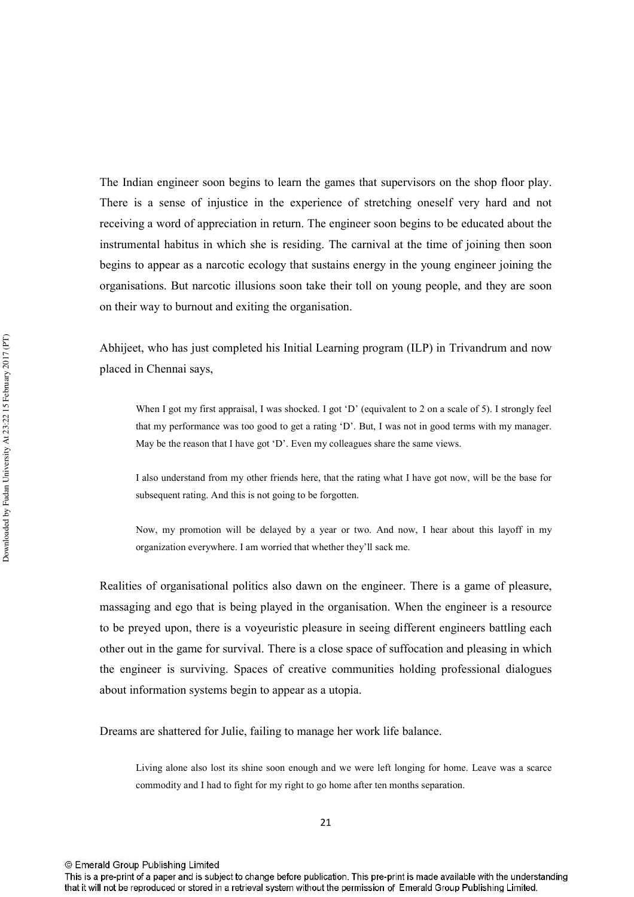The Indian engineer soon begins to learn the games that supervisors on the shop floor play. There is a sense of injustice in the experience of stretching oneself very hard and not receiving a word of appreciation in return. The engineer soon begins to be educated about the instrumental habitus in which she is residing. The carnival at the time of joining then soon begins to appear as a narcotic ecology that sustains energy in the young engineer joining the organisations. But narcotic illusions soon take their toll on young people, and they are soon on their way to burnout and exiting the organisation.

Abhijeet, who has just completed his Initial Learning program (ILP) in Trivandrum and now placed in Chennai savs.

When I got my first appraisal, I was shocked. I got 'D' (equivalent to 2 on a scale of 5). I strongly feel that my performance was too good to get a rating 'D'. But, I was not in good terms with my manager. May be the reason that I have got 'D'. Even my colleagues share the same views.

I also understand from my other friends here, that the rating what I have got now, will be the base for subsequent rating. And this is not going to be forgotten.

Now, my promotion will be delayed by a year or two. And now, I hear about this layoff in my organization everywhere. I am worried that whether they'll sack me.

Realities of organisational politics also dawn on the engineer. There is a game of pleasure, massaging and ego that is being played in the organisation. When the engineer is a resource to be preyed upon, there is a voyeuristic pleasure in seeing different engineers battling each other out in the game for survival. There is a close space of suffocation and pleasing in which the engineer is surviving. Spaces of creative communities holding professional dialogues about information systems begin to appear as a utopia.

Dreams are shattered for Julie, failing to manage her work life balance.

Living alone also lost its shine soon enough and we were left longing for home. Leave was a scarce commodity and I had to fight for my right to go home after ten months separation.

This is a pre-print of a paper and is subject to change before publication. This pre-print is made available with the understanding that it will not be reproduced or stored in a retrieval system without the permission of Emerald Group Publishing Limited.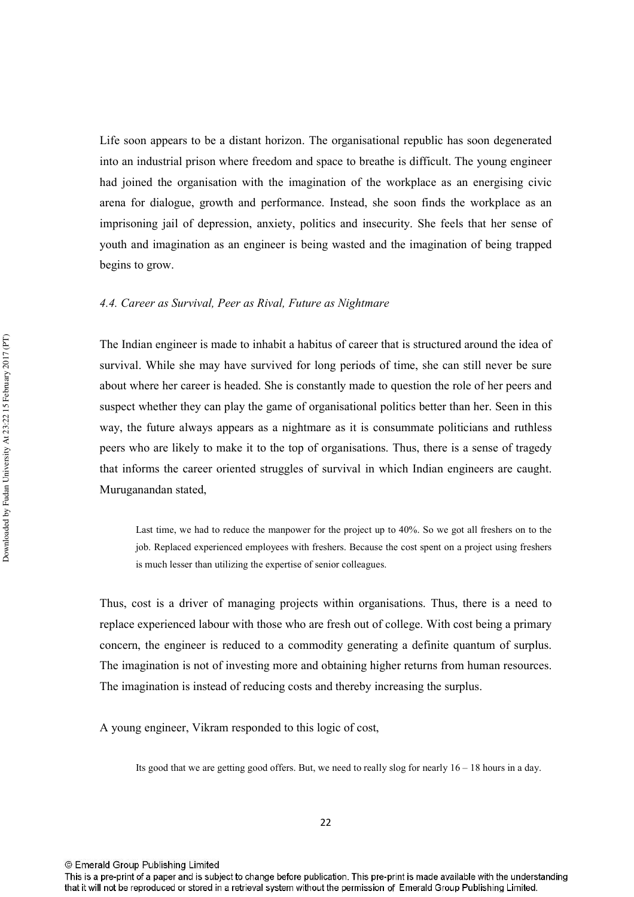Life soon appears to be a distant horizon. The organisational republic has soon degenerated into an industrial prison where freedom and space to breathe is difficult. The young engineer had joined the organisation with the imagination of the workplace as an energising civic arena for dialogue, growth and performance. Instead, she soon finds the workplace as an imprisoning jail of depression, anxiety, politics and insecurity. She feels that her sense of youth and imagination as an engineer is being wasted and the imagination of being trapped begins to grow.

#### 4.4. Career as Survival, Peer as Rival, Future as Nightmare

The Indian engineer is made to inhabit a habitus of career that is structured around the idea of survival. While she may have survived for long periods of time, she can still never be sure about where her career is headed. She is constantly made to question the role of her peers and suspect whether they can play the game of organisational politics better than her. Seen in this way, the future always appears as a nightmare as it is consummate politicians and ruthless peers who are likely to make it to the top of organisations. Thus, there is a sense of tragedy that informs the career oriented struggles of survival in which Indian engineers are caught. Muruganandan stated,

Last time, we had to reduce the manpower for the project up to 40%. So we got all freshers on to the job. Replaced experienced employees with freshers. Because the cost spent on a project using freshers is much lesser than utilizing the expertise of senior colleagues.

Thus, cost is a driver of managing projects within organisations. Thus, there is a need to replace experienced labour with those who are fresh out of college. With cost being a primary concern, the engineer is reduced to a commodity generating a definite quantum of surplus. The imagination is not of investing more and obtaining higher returns from human resources. The imagination is instead of reducing costs and thereby increasing the surplus.

A young engineer, Vikram responded to this logic of cost,

Its good that we are getting good offers. But, we need to really slog for nearly  $16 - 18$  hours in a day.

This is a pre-print of a paper and is subject to change before publication. This pre-print is made available with the understanding that it will not be reproduced or stored in a retrieval system without the permission of Emerald Group Publishing Limited.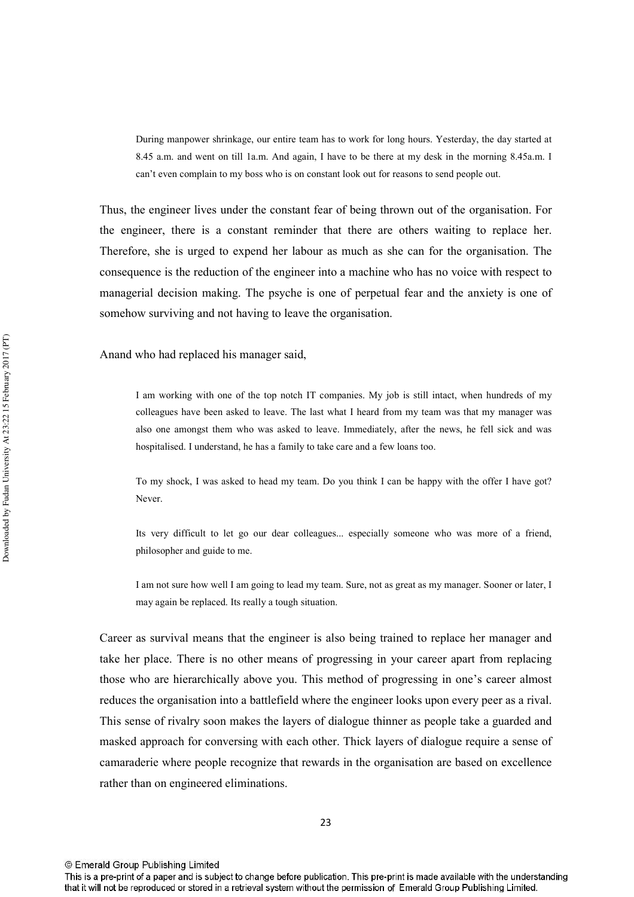During manpower shrinkage, our entire team has to work for long hours. Yesterday, the day started at 8.45 a.m. and went on till 1a.m. And again, I have to be there at my desk in the morning 8.45 a.m. I can't even complain to my boss who is on constant look out for reasons to send people out.

Thus, the engineer lives under the constant fear of being thrown out of the organisation. For the engineer, there is a constant reminder that there are others waiting to replace her. Therefore, she is urged to expend her labour as much as she can for the organisation. The consequence is the reduction of the engineer into a machine who has no voice with respect to managerial decision making. The psyche is one of perpetual fear and the anxiety is one of somehow surviving and not having to leave the organisation.

Anand who had replaced his manager said,

I am working with one of the top notch IT companies. My job is still intact, when hundreds of my colleagues have been asked to leave. The last what I heard from my team was that my manager was also one amongst them who was asked to leave. Immediately, after the news, he fell sick and was hospitalised. I understand, he has a family to take care and a few loans too.

To my shock. I was asked to head my team. Do you think I can be happy with the offer I have got? Never.

Its very difficult to let go our dear colleagues... especially someone who was more of a friend, philosopher and guide to me.

I am not sure how well I am going to lead my team. Sure, not as great as my manager. Sooner or later, I may again be replaced. Its really a tough situation.

Career as survival means that the engineer is also being trained to replace her manager and take her place. There is no other means of progressing in your career apart from replacing those who are hierarchically above you. This method of progressing in one's career almost reduces the organisation into a battlefield where the engineer looks upon every peer as a rival. This sense of rivalry soon makes the layers of dialogue thinner as people take a guarded and masked approach for conversing with each other. Thick layers of dialogue require a sense of camaraderie where people recognize that rewards in the organisation are based on excellence rather than on engineered eliminations.

<sup>©</sup> Emerald Group Publishing Limited

This is a pre-print of a paper and is subject to change before publication. This pre-print is made available with the understanding that it will not be reproduced or stored in a retrieval system without the permission of Emerald Group Publishing Limited.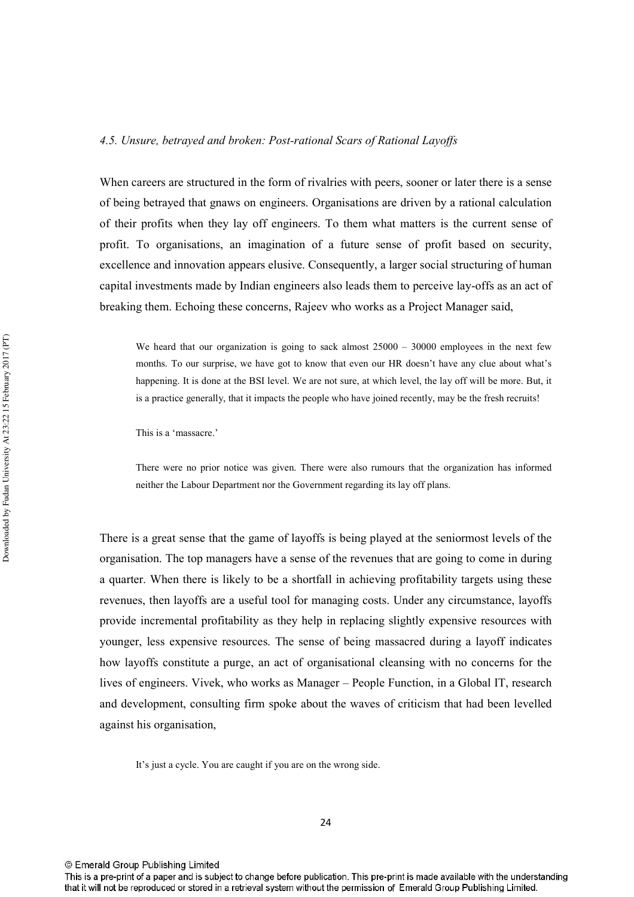#### 4.5. Unsure, betrayed and broken: Post-rational Scars of Rational Layoffs

When careers are structured in the form of rivalries with peers, sooner or later there is a sense of being betrayed that gnaws on engineers. Organisations are driven by a rational calculation of their profits when they lay off engineers. To them what matters is the current sense of profit. To organisations, an imagination of a future sense of profit based on security, excellence and innovation appears elusive. Consequently, a larger social structuring of human capital investments made by Indian engineers also leads them to perceive lay-offs as an act of breaking them. Echoing these concerns, Rajeev who works as a Project Manager said,

We heard that our organization is going to sack almost  $25000 - 30000$  employees in the next few months. To our surprise, we have got to know that even our HR doesn't have any clue about what's happening. It is done at the BSI level. We are not sure, at which level, the lay off will be more. But, it is a practice generally, that it impacts the people who have joined recently, may be the fresh recruits!

This is a 'massacre.'

There were no prior notice was given. There were also rumours that the organization has informed neither the Labour Department nor the Government regarding its lay off plans.

There is a great sense that the game of lavoffs is being played at the seniormost levels of the organisation. The top managers have a sense of the revenues that are going to come in during a quarter. When there is likely to be a shortfall in achieving profitability targets using these revenues, then layoffs are a useful tool for managing costs. Under any circumstance, layoffs provide incremental profitability as they help in replacing slightly expensive resources with younger, less expensive resources. The sense of being massacred during a layoff indicates how layoffs constitute a purge, an act of organisational cleansing with no concerns for the lives of engineers. Vivek, who works as Manager – People Function, in a Global IT, research and development, consulting firm spoke about the waves of criticism that had been levelled against his organisation,

It's just a cycle. You are caught if you are on the wrong side.

This is a pre-print of a paper and is subject to change before publication. This pre-print is made available with the understanding that it will not be reproduced or stored in a retrieval system without the permission of Emerald Group Publishing Limited.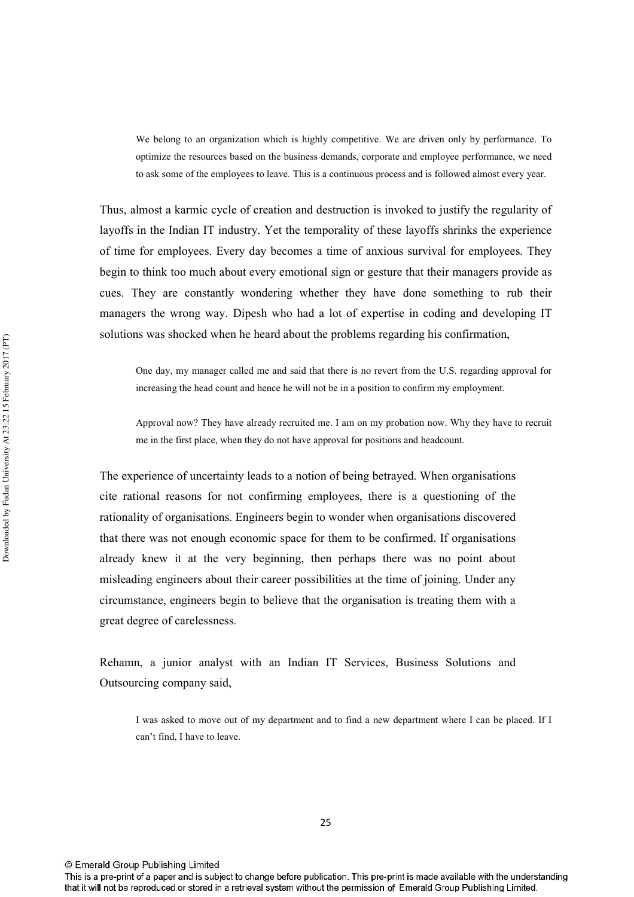We belong to an organization which is highly competitive. We are driven only by performance. To optimize the resources based on the business demands, corporate and employee performance, we need to ask some of the employees to leave. This is a continuous process and is followed almost every year.

Thus, almost a karmic cycle of creation and destruction is invoked to justify the regularity of layoffs in the Indian IT industry. Yet the temporality of these layoffs shrinks the experience of time for employees. Every day becomes a time of anxious survival for employees. They begin to think too much about every emotional sign or gesture that their managers provide as cues. They are constantly wondering whether they have done something to rub their managers the wrong way. Dipesh who had a lot of expertise in coding and developing IT solutions was shocked when he heard about the problems regarding his confirmation.

One day, my manager called me and said that there is no revert from the U.S. regarding approval for increasing the head count and hence he will not be in a position to confirm my employment.

Approval now? They have already recruited me. I am on my probation now. Why they have to recruit me in the first place, when they do not have approval for positions and headcount.

The experience of uncertainty leads to a notion of being betraved. When organisations cite rational reasons for not confirming employees, there is a questioning of the rationality of organisations. Engineers begin to wonder when organisations discovered that there was not enough economic space for them to be confirmed. If organisations already knew it at the very beginning, then perhaps there was no point about misleading engineers about their career possibilities at the time of joining. Under any circumstance, engineers begin to believe that the organisation is treating them with a great degree of carelessness.

Rehamn, a junior analyst with an Indian IT Services, Business Solutions and Outsourcing company said,

I was asked to move out of my department and to find a new department where I can be placed. If I can't find, I have to leave.

© Emerald Group Publishing Limited

This is a pre-print of a paper and is subject to change before publication. This pre-print is made available with the understanding that it will not be reproduced or stored in a retrieval system without the permission of Emerald Group Publishing Limited.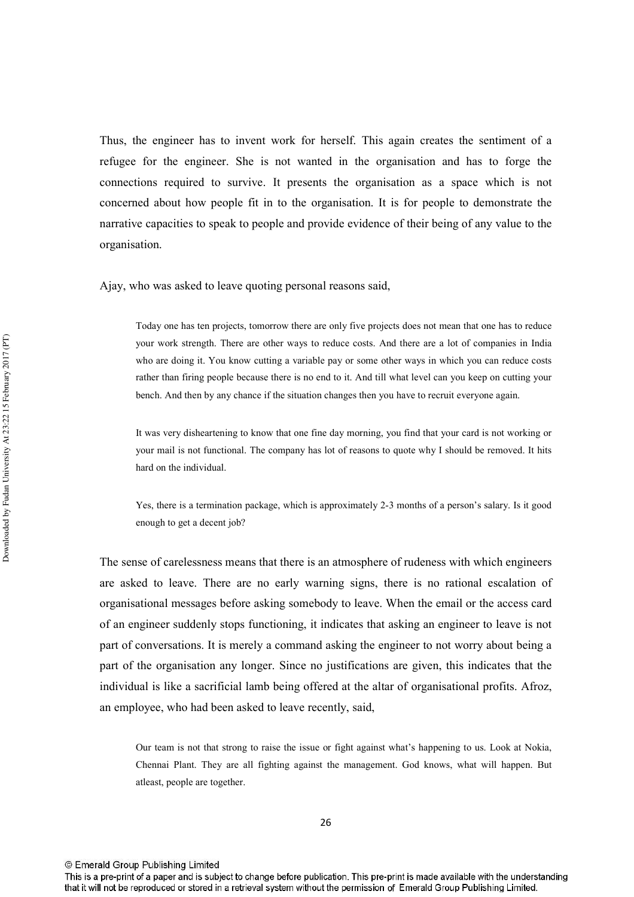Thus, the engineer has to invent work for herself. This again creates the sentiment of a refugee for the engineer. She is not wanted in the organisation and has to forge the connections required to survive. It presents the organisation as a space which is not concerned about how people fit in to the organisation. It is for people to demonstrate the narrative capacities to speak to people and provide evidence of their being of any value to the organisation.

Ajay, who was asked to leave quoting personal reasons said,

Today one has ten projects, tomorrow there are only five projects does not mean that one has to reduce your work strength. There are other ways to reduce costs. And there are a lot of companies in India who are doing it. You know cutting a variable pay or some other ways in which you can reduce costs rather than firing people because there is no end to it. And till what level can you keep on cutting your bench. And then by any chance if the situation changes then you have to recruit everyone again.

It was very disheartening to know that one fine day morning, you find that your card is not working or your mail is not functional. The company has lot of reasons to quote why I should be removed. It hits hard on the individual.

Yes, there is a termination package, which is approximately 2-3 months of a person's salary. Is it good enough to get a decent job?

The sense of carelessness means that there is an atmosphere of rudeness with which engineers are asked to leave. There are no early warning signs, there is no rational escalation of organisational messages before asking somebody to leave. When the email or the access card of an engineer suddenly stops functioning, it indicates that asking an engineer to leave is not part of conversations. It is merely a command asking the engineer to not worry about being a part of the organisation any longer. Since no justifications are given, this indicates that the individual is like a sacrificial lamb being offered at the altar of organisational profits. Afroz. an employee, who had been asked to leave recently, said,

Our team is not that strong to raise the issue or fight against what's happening to us. Look at Nokia, Chennai Plant. They are all fighting against the management. God knows, what will happen. But atleast, people are together.

This is a pre-print of a paper and is subject to change before publication. This pre-print is made available with the understanding that it will not be reproduced or stored in a retrieval system without the permission of Emerald Group Publishing Limited.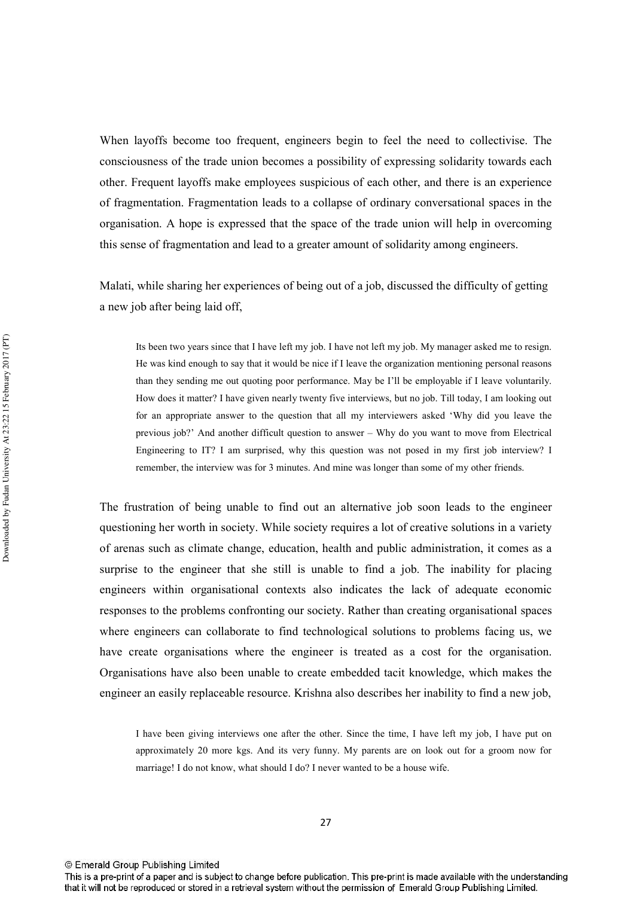When layoffs become too frequent, engineers begin to feel the need to collectivise. The consciousness of the trade union becomes a possibility of expressing solidarity towards each other. Frequent layoffs make employees suspicious of each other, and there is an experience of fragmentation. Fragmentation leads to a collapse of ordinary conversational spaces in the organisation. A hope is expressed that the space of the trade union will help in overcoming this sense of fragmentation and lead to a greater amount of solidarity among engineers.

Malati, while sharing her experiences of being out of a job, discussed the difficulty of getting a new job after being laid off,

Its been two years since that I have left my job. I have not left my job. My manager asked me to resign. He was kind enough to say that it would be nice if I leave the organization mentioning personal reasons than they sending me out quoting poor performance. May be I'll be employable if I leave voluntarily. How does it matter? I have given nearly twenty five interviews, but no job. Till today, I am looking out for an appropriate answer to the question that all my interviewers asked 'Why did you leave the previous job?' And another difficult question to answer – Why do you want to move from Electrical Engineering to IT? I am surprised, why this question was not posed in my first job interview? I remember, the interview was for 3 minutes. And mine was longer than some of my other friends.

The frustration of being unable to find out an alternative job soon leads to the engineer questioning her worth in society. While society requires a lot of creative solutions in a variety of arenas such as climate change, education, health and public administration, it comes as a surprise to the engineer that she still is unable to find a job. The inability for placing engineers within organisational contexts also indicates the lack of adequate economic responses to the problems confronting our society. Rather than creating organisational spaces where engineers can collaborate to find technological solutions to problems facing us, we have create organisations where the engineer is treated as a cost for the organisation. Organisations have also been unable to create embedded tacit knowledge, which makes the engineer an easily replaceable resource. Krishna also describes her inability to find a new job,

I have been giving interviews one after the other. Since the time, I have left my job. I have put on approximately 20 more kgs. And its very funny. My parents are on look out for a groom now for marriage! I do not know, what should I do? I never wanted to be a house wife.

<sup>©</sup> Emerald Group Publishing Limited

This is a pre-print of a paper and is subject to change before publication. This pre-print is made available with the understanding that it will not be reproduced or stored in a retrieval system without the permission of Emerald Group Publishing Limited.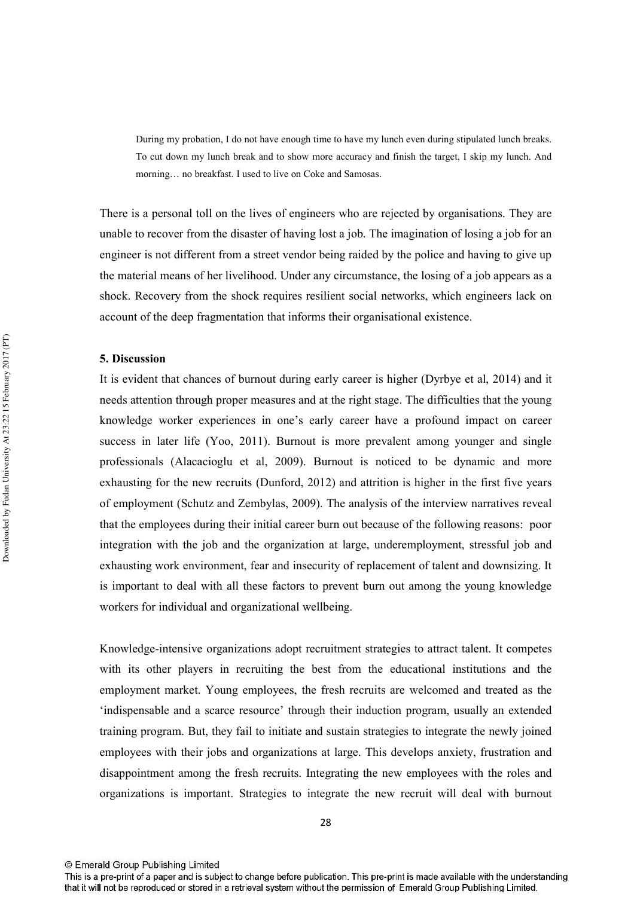During my probation, I do not have enough time to have my lunch even during stipulated lunch breaks. To cut down my lunch break and to show more accuracy and finish the target, I skip my lunch. And morning... no breakfast. I used to live on Coke and Samosas.

There is a personal toll on the lives of engineers who are rejected by organisations. They are unable to recover from the disaster of having lost a job. The imagination of losing a job for an engineer is not different from a street vendor being raided by the police and having to give up the material means of her livelihood. Under any circumstance, the losing of a job appears as a shock. Recovery from the shock requires resilient social networks, which engineers lack on account of the deep fragmentation that informs their organisational existence.

#### 5. Discussion

It is evident that chances of burnout during early career is higher (Dyrbye et al, 2014) and it needs attention through proper measures and at the right stage. The difficulties that the young knowledge worker experiences in one's early career have a profound impact on career success in later life (Yoo, 2011). Burnout is more prevalent among younger and single professionals (Alacacioglu et al, 2009). Burnout is noticed to be dynamic and more exhausting for the new recruits (Dunford, 2012) and attrition is higher in the first five years of employment (Schutz and Zembylas, 2009). The analysis of the interview narratives reveal that the employees during their initial career burn out because of the following reasons: poor integration with the job and the organization at large, underemployment, stressful job and exhausting work environment, fear and insecurity of replacement of talent and downsizing. It is important to deal with all these factors to prevent burn out among the young knowledge workers for individual and organizational wellbeing.

Knowledge-intensive organizations adopt recruitment strategies to attract talent. It competes with its other players in recruiting the best from the educational institutions and the employment market. Young employees, the fresh recruits are welcomed and treated as the 'indispensable and a scarce resource' through their induction program, usually an extended training program. But, they fail to initiate and sustain strategies to integrate the newly joined employees with their jobs and organizations at large. This develops anxiety, frustration and disappointment among the fresh recruits. Integrating the new employees with the roles and organizations is important. Strategies to integrate the new recruit will deal with burnout

<sup>©</sup> Emerald Group Publishing Limited

This is a pre-print of a paper and is subject to change before publication. This pre-print is made available with the understanding that it will not be reproduced or stored in a retrieval system without the permission of Emerald Group Publishing Limited.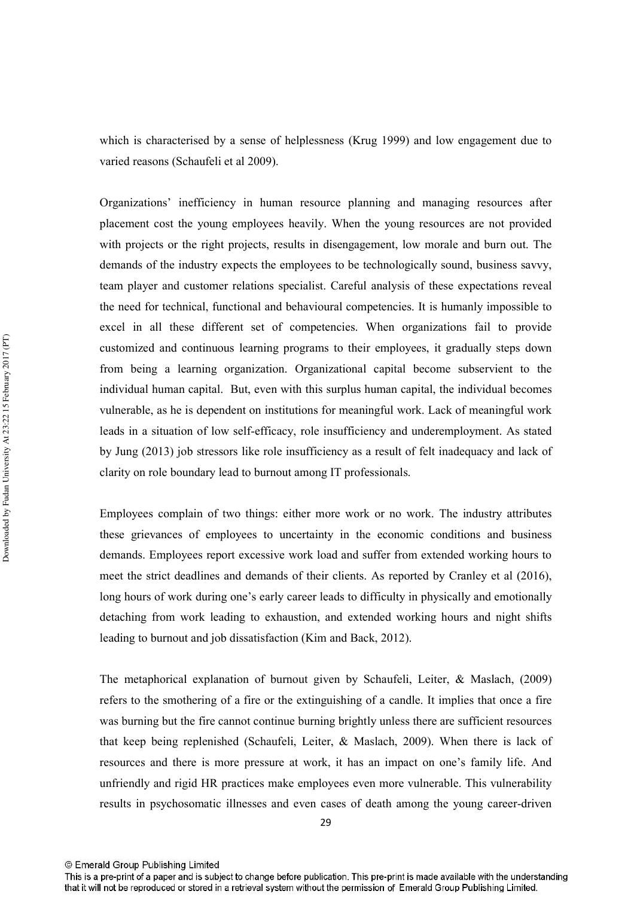which is characterised by a sense of helplessness (Krug 1999) and low engagement due to varied reasons (Schaufeli et al 2009).

Organizations' inefficiency in human resource planning and managing resources after placement cost the young employees heavily. When the young resources are not provided with projects or the right projects, results in disengagement, low morale and burn out. The demands of the industry expects the employees to be technologically sound, business say vy, team player and customer relations specialist. Careful analysis of these expectations reveal the need for technical, functional and behavioural competencies. It is humanly impossible to excel in all these different set of competencies. When organizations fail to provide customized and continuous learning programs to their employees, it gradually steps down from being a learning organization. Organizational capital become subservient to the individual human capital. But, even with this surplus human capital, the individual becomes vulnerable, as he is dependent on institutions for meaningful work. Lack of meaningful work leads in a situation of low self-efficacy, role insufficiency and underemployment. As stated by Jung (2013) job stressors like role insufficiency as a result of felt inadequacy and lack of clarity on role boundary lead to burnout among IT professionals.

Employees complain of two things: either more work or no work. The industry attributes these grievances of employees to uncertainty in the economic conditions and business demands. Employees report excessive work load and suffer from extended working hours to meet the strict deadlines and demands of their clients. As reported by Cranley et al (2016), long hours of work during one's early career leads to difficulty in physically and emotionally detaching from work leading to exhaustion, and extended working hours and night shifts leading to burnout and job dissatisfaction (Kim and Back, 2012).

The metaphorical explanation of burnout given by Schaufeli, Leiter, & Maslach, (2009) refers to the smothering of a fire or the extinguishing of a candle. It implies that once a fire was burning but the fire cannot continue burning brightly unless there are sufficient resources that keep being replenished (Schaufeli, Leiter, & Maslach, 2009). When there is lack of resources and there is more pressure at work, it has an impact on one's family life. And unfriendly and rigid HR practices make employees even more vulnerable. This vulnerability results in psychosomatic illnesses and even cases of death among the young career-driven

<sup>©</sup> Emerald Group Publishing Limited

This is a pre-print of a paper and is subject to change before publication. This pre-print is made available with the understanding that it will not be reproduced or stored in a retrieval system without the permission of Emerald Group Publishing Limited.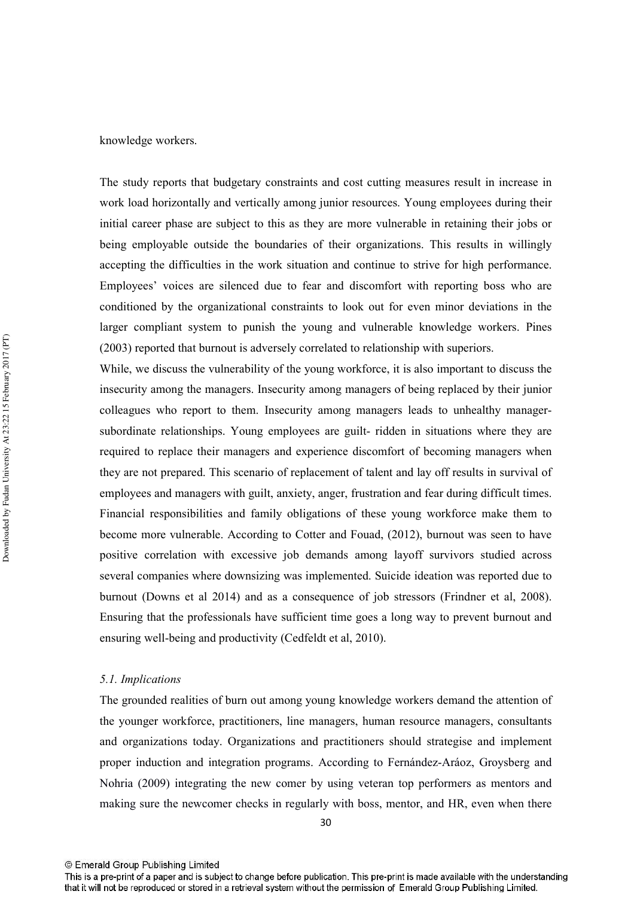The study reports that budgetary constraints and cost cutting measures result in increase in work load horizontally and vertically among junior resources. Young employees during their initial career phase are subject to this as they are more vulnerable in retaining their jobs or being employable outside the boundaries of their organizations. This results in willingly accepting the difficulties in the work situation and continue to strive for high performance. Employees' voices are silenced due to fear and discomfort with reporting boss who are conditioned by the organizational constraints to look out for even minor deviations in the larger compliant system to punish the young and vulnerable knowledge workers. Pines (2003) reported that burnout is adversely correlated to relationship with superiors.

While, we discuss the vulnerability of the young workforce, it is also important to discuss the insecurity among the managers. Insecurity among managers of being replaced by their junior colleagues who report to them. Insecurity among managers leads to unhealthy managersubordinate relationships. Young employees are guilt-ridden in situations where they are required to replace their managers and experience discomfort of becoming managers when they are not prepared. This scenario of replacement of talent and lay off results in survival of employees and managers with guilt, anxiety, anger, frustration and fear during difficult times. Financial responsibilities and family obligations of these young workforce make them to become more vulnerable. According to Cotter and Fouad, (2012), burnout was seen to have positive correlation with excessive job demands among layoff survivors studied across several companies where downsizing was implemented. Suicide ideation was reported due to burnout (Downs et al 2014) and as a consequence of job stressors (Frindner et al, 2008). Ensuring that the professionals have sufficient time goes a long way to prevent burnout and ensuring well-being and productivity (Cedfeldt et al, 2010).

#### 5.1. Implications

The grounded realities of burn out among young knowledge workers demand the attention of the younger workforce, practitioners, line managers, human resource managers, consultants and organizations today. Organizations and practitioners should strategise and implement proper induction and integration programs. According to Fernández-Aráoz, Groysberg and Nohria (2009) integrating the new comer by using veteran top performers as mentors and making sure the newcomer checks in regularly with boss, mentor, and HR, even when there

This is a pre-print of a paper and is subject to change before publication. This pre-print is made available with the understanding that it will not be reproduced or stored in a retrieval system without the permission of Emerald Group Publishing Limited.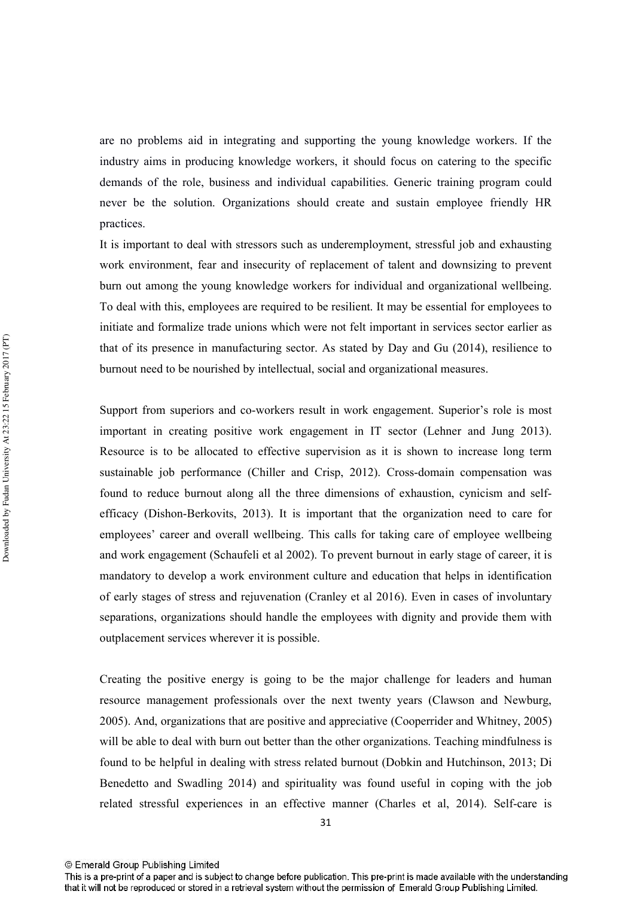are no problems aid in integrating and supporting the young knowledge workers. If the industry aims in producing knowledge workers, it should focus on catering to the specific demands of the role, business and individual capabilities. Generic training program could never be the solution. Organizations should create and sustain employee friendly HR practices.

It is important to deal with stressors such as underemployment, stressful job and exhausting work environment, fear and insecurity of replacement of talent and downsizing to prevent burn out among the young knowledge workers for individual and organizational wellbeing. To deal with this, employees are required to be resilient. It may be essential for employees to initiate and formalize trade unions which were not felt important in services sector earlier as that of its presence in manufacturing sector. As stated by Day and Gu (2014), resilience to burnout need to be nourished by intellectual, social and organizational measures.

Support from superiors and co-workers result in work engagement. Superior's role is most important in creating positive work engagement in IT sector (Lehner and Jung 2013). Resource is to be allocated to effective supervision as it is shown to increase long term sustainable job performance (Chiller and Crisp, 2012). Cross-domain compensation was found to reduce burnout along all the three dimensions of exhaustion, cynicism and selfefficacy (Dishon-Berkovits, 2013). It is important that the organization need to care for employees' career and overall wellbeing. This calls for taking care of employee wellbeing and work engagement (Schaufeli et al 2002). To prevent burnout in early stage of career, it is mandatory to develop a work environment culture and education that helps in identification of early stages of stress and rejuvenation (Cranley et al 2016). Even in cases of involuntary separations, organizations should handle the employees with dignity and provide them with outplacement services wherever it is possible.

Creating the positive energy is going to be the major challenge for leaders and human resource management professionals over the next twenty years (Clawson and Newburg, 2005). And, organizations that are positive and appreciative (Cooperrider and Whitney, 2005) will be able to deal with burn out better than the other organizations. Teaching mindfulness is found to be helpful in dealing with stress related burnout (Dobkin and Hutchinson, 2013; Di Benedetto and Swadling 2014) and spirituality was found useful in coping with the job related stressful experiences in an effective manner (Charles et al. 2014). Self-care is

This is a pre-print of a paper and is subject to change before publication. This pre-print is made available with the understanding that it will not be reproduced or stored in a retrieval system without the permission of Emerald Group Publishing Limited.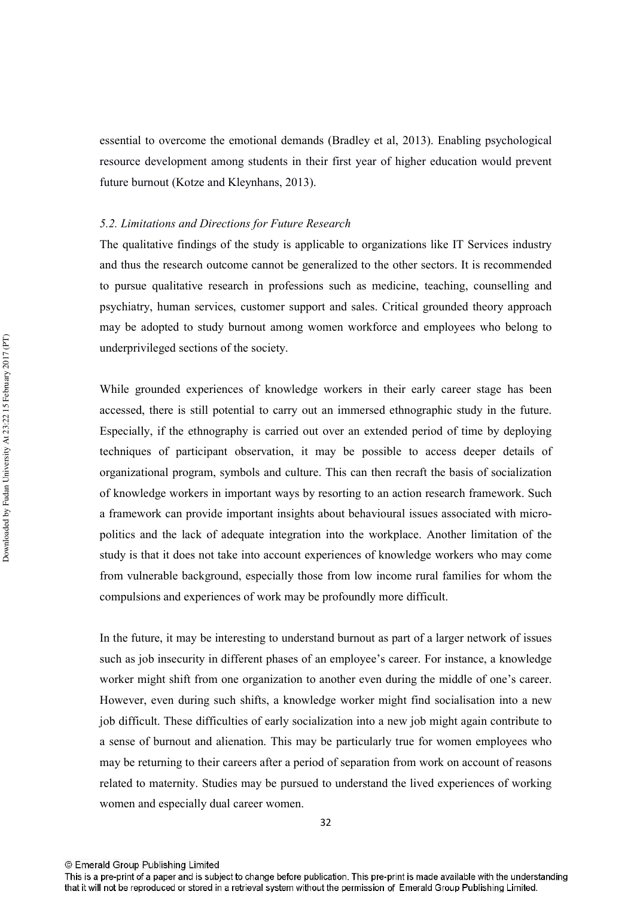essential to overcome the emotional demands (Bradley et al. 2013). Enabling psychological resource development among students in their first year of higher education would prevent future burnout (Kotze and Kleynhans, 2013).

#### 5.2. Limitations and Directions for Future Research

The qualitative findings of the study is applicable to organizations like IT Services industry and thus the research outcome cannot be generalized to the other sectors. It is recommended to pursue qualitative research in professions such as medicine, teaching, counselling and psychiatry, human services, customer support and sales. Critical grounded theory approach may be adopted to study burnout among women workforce and employees who belong to underprivileged sections of the society.

While grounded experiences of knowledge workers in their early career stage has been accessed, there is still potential to carry out an immersed ethnographic study in the future. Especially, if the ethnography is carried out over an extended period of time by deploying techniques of participant observation, it may be possible to access deeper details of organizational program, symbols and culture. This can then recraft the basis of socialization of knowledge workers in important ways by resorting to an action research framework. Such a framework can provide important insights about behavioural issues associated with micropolitics and the lack of adequate integration into the workplace. Another limitation of the study is that it does not take into account experiences of knowledge workers who may come from vulnerable background, especially those from low income rural families for whom the compulsions and experiences of work may be profoundly more difficult.

In the future, it may be interesting to understand burnout as part of a larger network of issues such as job insecurity in different phases of an employee's career. For instance, a knowledge worker might shift from one organization to another even during the middle of one's career. However, even during such shifts, a knowledge worker might find socialisation into a new job difficult. These difficulties of early socialization into a new job might again contribute to a sense of burnout and alienation. This may be particularly true for women employees who may be returning to their careers after a period of separation from work on account of reasons related to maternity. Studies may be pursued to understand the lived experiences of working women and especially dual career women.

<sup>©</sup> Emerald Group Publishing Limited

This is a pre-print of a paper and is subject to change before publication. This pre-print is made available with the understanding that it will not be reproduced or stored in a retrieval system without the permission of Emerald Group Publishing Limited.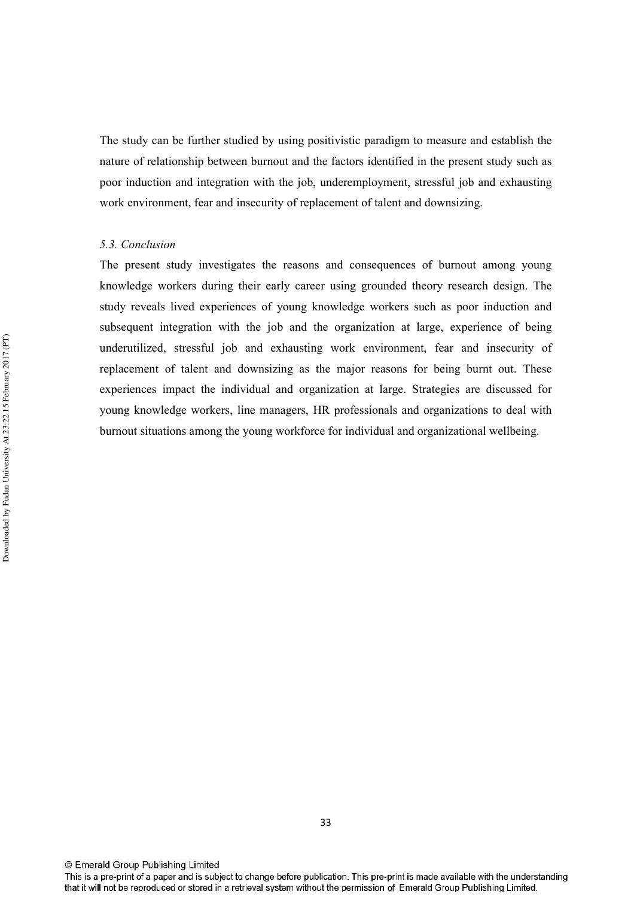The study can be further studied by using positivistic paradigm to measure and establish the nature of relationship between burnout and the factors identified in the present study such as poor induction and integration with the job, underemployment, stressful job and exhausting work environment, fear and insecurity of replacement of talent and downsizing.

#### 5.3. Conclusion

The present study investigates the reasons and consequences of burnout among young knowledge workers during their early career using grounded theory research design. The study reveals lived experiences of young knowledge workers such as poor induction and subsequent integration with the job and the organization at large, experience of being underutilized, stressful job and exhausting work environment, fear and insecurity of replacement of talent and downsizing as the major reasons for being burnt out. These experiences impact the individual and organization at large. Strategies are discussed for young knowledge workers, line managers, HR professionals and organizations to deal with burnout situations among the young workforce for individual and organizational wellbeing.

<sup>©</sup> Emerald Group Publishing Limited

This is a pre-print of a paper and is subject to change before publication. This pre-print is made available with the understanding that it will not be reproduced or stored in a retrieval system without the permission of Emerald Group Publishing Limited.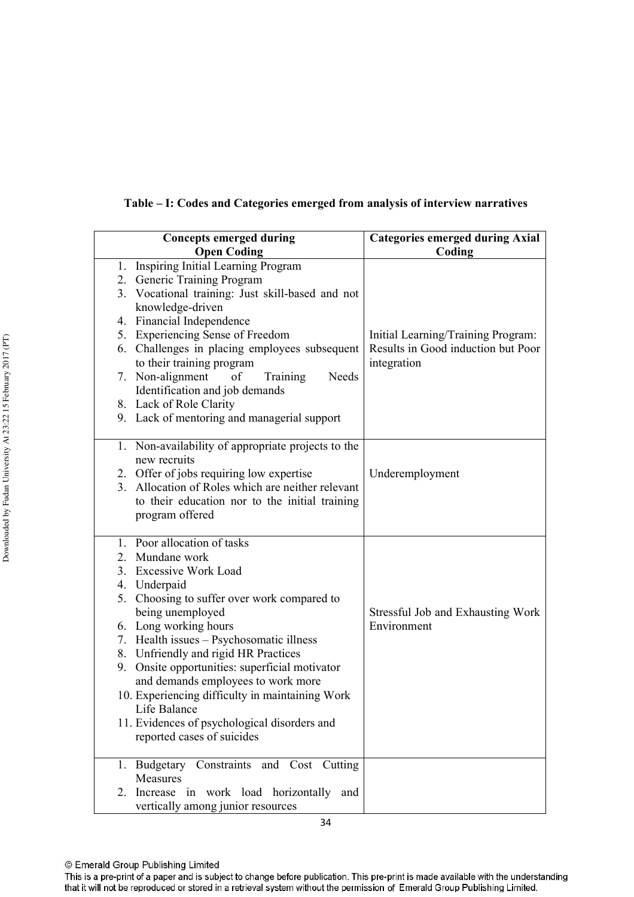| <b>Concepts emerged during</b>                                    | <b>Categories emerged during Axial</b>           |
|-------------------------------------------------------------------|--------------------------------------------------|
| <b>Open Coding</b>                                                | Coding                                           |
| 1. Inspiring Initial Learning Program                             |                                                  |
| 2. Generic Training Program                                       |                                                  |
| 3. Vocational training: Just skill-based and not                  |                                                  |
| knowledge-driven                                                  |                                                  |
| 4. Financial Independence                                         |                                                  |
| 5. Experiencing Sense of Freedom                                  | Initial Learning/Training Program:               |
| 6. Challenges in placing employees subsequent                     | Results in Good induction but Poor               |
| to their training program                                         | integration                                      |
| 7. Non-alignment<br>Needs<br>of<br>Training                       |                                                  |
| Identification and job demands                                    |                                                  |
| 8. Lack of Role Clarity                                           |                                                  |
| 9. Lack of mentoring and managerial support                       |                                                  |
|                                                                   |                                                  |
| 1. Non-availability of appropriate projects to the                |                                                  |
| new recruits                                                      |                                                  |
| 2. Offer of jobs requiring low expertise                          | Underemployment                                  |
| 3. Allocation of Roles which are neither relevant                 |                                                  |
| to their education nor to the initial training                    |                                                  |
| program offered                                                   |                                                  |
|                                                                   |                                                  |
| 1. Poor allocation of tasks                                       |                                                  |
| 2. Mundane work                                                   |                                                  |
| 3. Excessive Work Load                                            |                                                  |
| 4. Underpaid                                                      |                                                  |
| 5. Choosing to suffer over work compared to                       |                                                  |
| being unemployed                                                  | Stressful Job and Exhausting Work<br>Environment |
| 6. Long working hours<br>7. Health issues - Psychosomatic illness |                                                  |
| 8. Unfriendly and rigid HR Practices                              |                                                  |
| 9. Onsite opportunities: superficial motivator                    |                                                  |
| and demands employees to work more                                |                                                  |
| 10. Experiencing difficulty in maintaining Work                   |                                                  |
| Life Balance                                                      |                                                  |
| 11. Evidences of psychological disorders and                      |                                                  |
| reported cases of suicides                                        |                                                  |
|                                                                   |                                                  |
| 1. Budgetary Constraints and Cost Cutting                         |                                                  |
| Measures                                                          |                                                  |
| 2. Increase in work load horizontally and                         |                                                  |
| vertically among junior resources                                 |                                                  |

Table - I: Codes and Categories emerged from analysis of interview narratives

<sup>©</sup> Emerald Group Publishing Limited

This is a pre-print of a paper and is subject to change before publication. This pre-print is made available with the understanding that it will not be reproduced or stored in a retrieval system without the permission of Emerald Group Publishing Limited.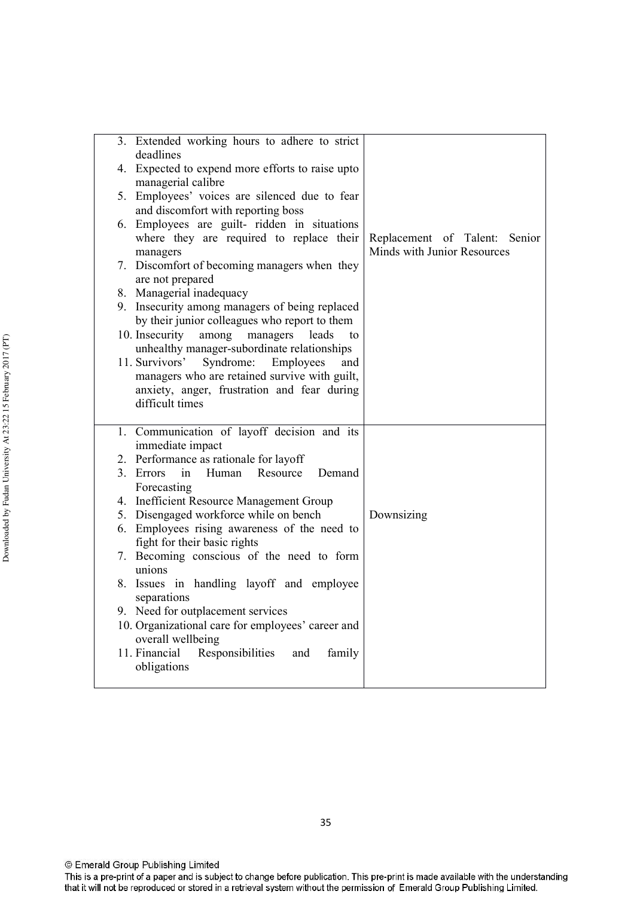| 3. | Extended working hours to adhere to strict<br>deadlines                                          |                                                                 |
|----|--------------------------------------------------------------------------------------------------|-----------------------------------------------------------------|
|    | 4. Expected to expend more efforts to raise upto                                                 |                                                                 |
|    | managerial calibre<br>5. Employees' voices are silenced due to fear                              |                                                                 |
|    | and discomfort with reporting boss                                                               |                                                                 |
|    | 6. Employees are guilt- ridden in situations                                                     |                                                                 |
|    | where they are required to replace their<br>managers                                             | Replacement of Talent:<br>Senior<br>Minds with Junior Resources |
|    | 7. Discomfort of becoming managers when they                                                     |                                                                 |
|    | are not prepared                                                                                 |                                                                 |
|    | 8. Managerial inadequacy<br>9. Insecurity among managers of being replaced                       |                                                                 |
|    | by their junior colleagues who report to them                                                    |                                                                 |
|    | 10. Insecurity<br>among<br>managers<br>leads<br>to                                               |                                                                 |
|    | unhealthy manager-subordinate relationships                                                      |                                                                 |
|    | 11. Survivors'<br>Syndrome:<br>Employees<br>and<br>managers who are retained survive with guilt, |                                                                 |
|    | anxiety, anger, frustration and fear during                                                      |                                                                 |
|    | difficult times                                                                                  |                                                                 |
|    | 1. Communication of layoff decision and its                                                      |                                                                 |
|    | immediate impact                                                                                 |                                                                 |
|    | 2. Performance as rationale for layoff<br>3. Errors<br>Human<br>Demand<br>Resource               |                                                                 |
|    | in<br>Forecasting                                                                                |                                                                 |
|    | 4. Inefficient Resource Management Group                                                         |                                                                 |
|    | 5. Disengaged workforce while on bench                                                           | Downsizing                                                      |
|    | 6. Employees rising awareness of the need to<br>fight for their basic rights                     |                                                                 |
|    | 7. Becoming conscious of the need to form                                                        |                                                                 |
|    | unions                                                                                           |                                                                 |
|    | 8. Issues in handling layoff and employee                                                        |                                                                 |
|    | separations<br>9. Need for outplacement services                                                 |                                                                 |
|    | 10. Organizational care for employees' career and                                                |                                                                 |
|    | overall wellbeing                                                                                |                                                                 |
|    | Responsibilities and<br>11. Financial<br>family                                                  |                                                                 |
|    | obligations                                                                                      |                                                                 |
|    |                                                                                                  |                                                                 |

© Emerald Group Publishing Limited

This is a pre-print of a paper and is subject to change before publication. This pre-print is made available with the understanding that it will not be reproduced or stored in a retrieval system without the permission of Emerald Group Publishing Limited.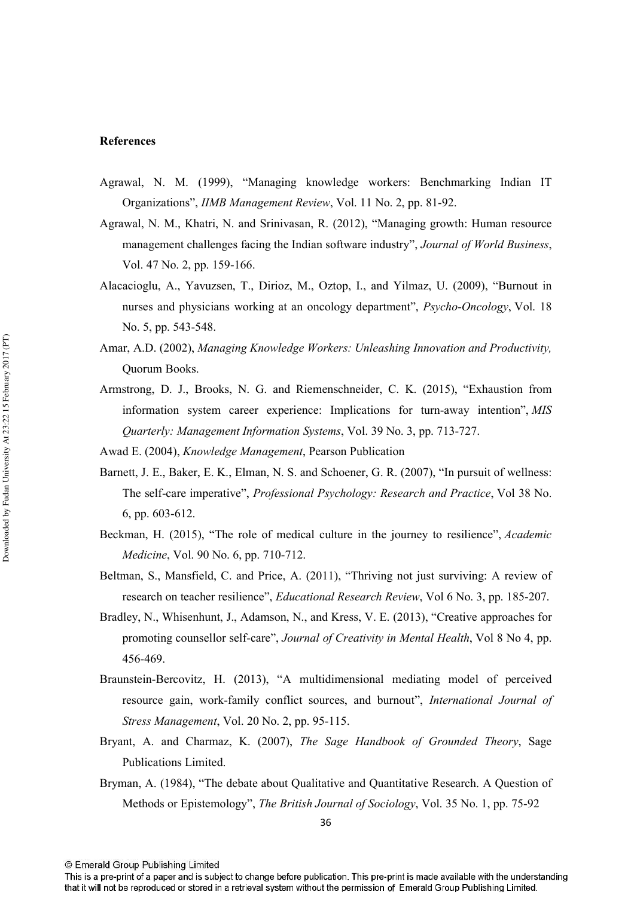#### **References**

- Agrawal, N. M. (1999), "Managing knowledge workers: Benchmarking Indian IT Organizations", IIMB Management Review, Vol. 11 No. 2, pp. 81-92.
- Agrawal, N. M., Khatri, N. and Srinivasan, R. (2012), "Managing growth: Human resource management challenges facing the Indian software industry", Journal of World Business, Vol. 47 No. 2, pp. 159-166.
- Alacacioglu, A., Yavuzsen, T., Dirioz, M., Oztop, I., and Yilmaz, U. (2009), "Burnout in nurses and physicians working at an oncology department", *Psycho-Oncology*, Vol. 18 No. 5, pp. 543-548.
- Amar, A.D. (2002), Managing Knowledge Workers: Unleashing Innovation and Productivity, **Ouorum Books**
- Armstrong, D. J., Brooks, N. G. and Riemenschneider, C. K. (2015), "Exhaustion from information system career experience: Implications for turn-away intention", MIS *Ouarterly: Management Information Systems, Vol. 39 No. 3, pp. 713-727.*
- Awad E. (2004), *Knowledge Management*, Pearson Publication
- Barnett, J. E., Baker, E. K., Elman, N. S. and Schoener, G. R. (2007), "In pursuit of wellness: The self-care imperative", Professional Psychology: Research and Practice, Vol 38 No. 6, pp. 603-612.
- Beckman, H. (2015), "The role of medical culture in the journey to resilience", Academic Medicine, Vol. 90 No. 6, pp. 710-712.
- Beltman, S., Mansfield, C. and Price, A. (2011), "Thriving not just surviving: A review of research on teacher resilience", *Educational Research Review*, Vol 6 No. 3, pp. 185-207.
- Bradley, N., Whisenhunt, J., Adamson, N., and Kress, V. E. (2013), "Creative approaches for promoting counsellor self-care", Journal of Creativity in Mental Health, Vol 8 No 4, pp. 456-469.
- Braunstein-Bercovitz, H. (2013), "A multidimensional mediating model of perceived resource gain, work-family conflict sources, and burnout", International Journal of Stress Management, Vol. 20 No. 2, pp. 95-115.
- Bryant, A. and Charmaz, K. (2007), The Sage Handbook of Grounded Theory, Sage Publications Limited.
- Bryman, A. (1984), "The debate about Qualitative and Quantitative Research. A Question of Methods or Epistemology", *The British Journal of Sociology*, Vol. 35 No. 1, pp. 75-92

<sup>©</sup> Emerald Group Publishing Limited

This is a pre-print of a paper and is subject to change before publication. This pre-print is made available with the understanding that it will not be reproduced or stored in a retrieval system without the permission of Emerald Group Publishing Limited.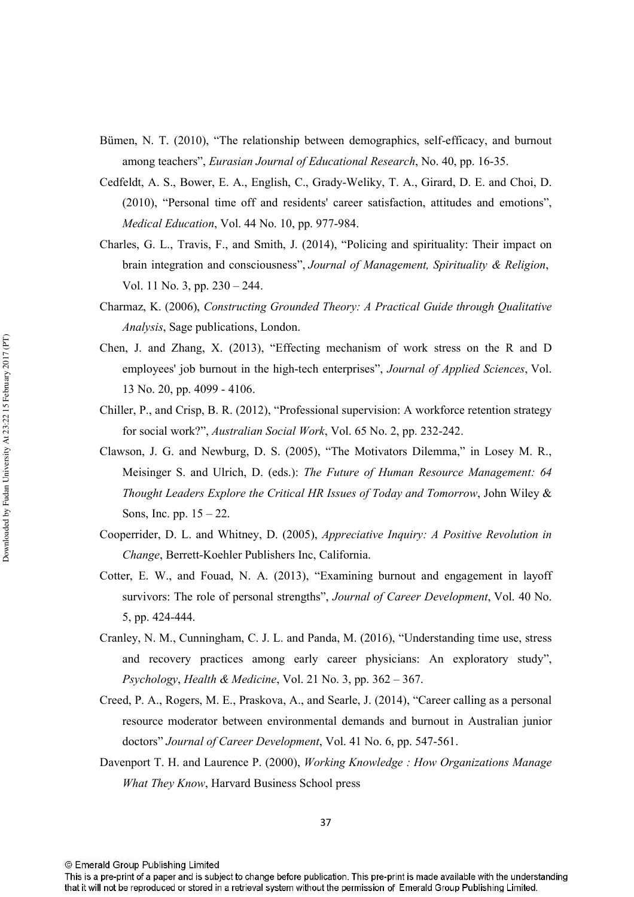- Bümen, N. T. (2010), "The relationship between demographics, self-efficacy, and burnout among teachers", Eurasian Journal of Educational Research, No. 40, pp. 16-35.
- Cedfeldt, A. S., Bower, E. A., English, C., Grady-Weliky, T. A., Girard, D. E. and Choi, D. (2010), "Personal time off and residents' career satisfaction, attitudes and emotions", Medical Education, Vol. 44 No. 10, pp. 977-984.
- Charles, G. L., Travis, F., and Smith, J. (2014), "Policing and spirituality: Their impact on brain integration and consciousness", Journal of Management, Spirituality & Religion, Vol. 11 No. 3, pp.  $230 - 244$ .
- Charmaz, K. (2006), Constructing Grounded Theory: A Practical Guide through Qualitative *Analysis*, Sage publications, London.
- Chen, J. and Zhang, X. (2013), "Effecting mechanism of work stress on the R and D employees' job burnout in the high-tech enterprises", Journal of Applied Sciences, Vol. 13 No. 20, pp. 4099 - 4106.
- Chiller, P., and Crisp, B. R. (2012), "Professional supervision: A workforce retention strategy for social work?", *Australian Social Work*, Vol. 65 No. 2, pp. 232-242.
- Clawson, J. G. and Newburg, D. S. (2005), "The Motivators Dilemma," in Losey M. R., Meisinger S. and Ulrich, D. (eds.): The Future of Human Resource Management: 64 Thought Leaders Explore the Critical HR Issues of Today and Tomorrow, John Wiley & Sons, Inc. pp.  $15 - 22$ .
- Cooperrider, D. L. and Whitney, D. (2005), Appreciative Inquiry: A Positive Revolution in Change, Berrett-Koehler Publishers Inc, California.
- Cotter, E. W., and Fouad, N. A. (2013), "Examining burnout and engagement in layoff survivors: The role of personal strengths", Journal of Career Development, Vol. 40 No. 5, pp. 424-444.
- Cranley, N. M., Cunningham, C. J. L. and Panda, M. (2016), "Understanding time use, stress and recovery practices among early career physicians: An exploratory study", Psychology, Health & Medicine, Vol. 21 No. 3, pp.  $362 - 367$ .
- Creed, P. A., Rogers, M. E., Praskova, A., and Searle, J. (2014), "Career calling as a personal resource moderator between environmental demands and burnout in Australian junior doctors" Journal of Career Development, Vol. 41 No. 6, pp. 547-561.
- Davenport T. H. and Laurence P. (2000), Working Knowledge: How Organizations Manage **What They Know, Harvard Business School press**

<sup>©</sup> Emerald Group Publishing Limited

This is a pre-print of a paper and is subject to change before publication. This pre-print is made available with the understanding that it will not be reproduced or stored in a retrieval system without the permission of Emerald Group Publishing Limited.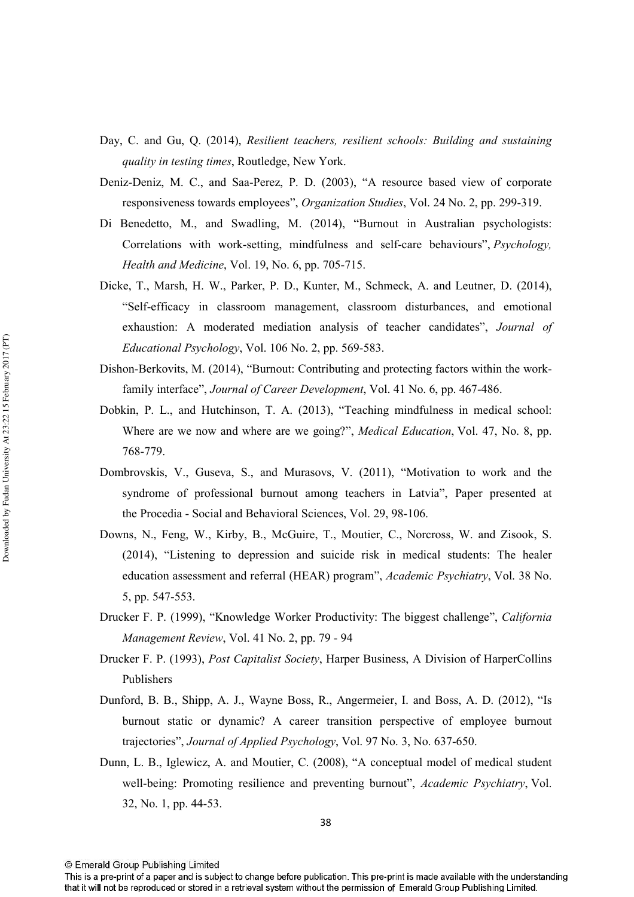- Day, C. and Gu, Q. (2014), Resilient teachers, resilient schools: Building and sustaining quality in testing times, Routledge, New York.
- Deniz-Deniz, M. C., and Saa-Perez, P. D. (2003), "A resource based view of corporate responsiveness towards employees", Organization Studies, Vol. 24 No. 2, pp. 299-319.
- Di Benedetto, M., and Swadling, M. (2014), "Burnout in Australian psychologists: Correlations with work-setting, mindfulness and self-care behaviours", Psychology, *Health and Medicine, Vol. 19, No. 6, pp. 705-715.*
- Dicke, T., Marsh, H. W., Parker, P. D., Kunter, M., Schmeck, A. and Leutner, D. (2014), "Self-efficacy in classroom management, classroom disturbances, and emotional exhaustion: A moderated mediation analysis of teacher candidates", Journal of Educational Psychology, Vol. 106 No. 2, pp. 569-583.
- Dishon-Berkovits, M. (2014). "Burnout: Contributing and protecting factors within the workfamily interface", Journal of Career Development, Vol. 41 No. 6, pp. 467-486.
- Dobkin, P. L., and Hutchinson, T. A. (2013), "Teaching mindfulness in medical school: Where are we now and where are we going?", Medical Education, Vol. 47, No. 8, pp. 768-779.
- Dombrovskis, V., Guseva, S., and Murasovs, V. (2011), "Motivation to work and the syndrome of professional burnout among teachers in Latvia", Paper presented at the Procedia - Social and Behavioral Sciences, Vol. 29, 98-106.
- Downs, N., Feng, W., Kirby, B., McGuire, T., Moutier, C., Norcross, W. and Zisook, S. (2014), "Listening to depression and suicide risk in medical students: The healer education assessment and referral (HEAR) program", Academic Psychiatry, Vol. 38 No. 5, pp. 547-553.
- Drucker F. P. (1999), "Knowledge Worker Productivity: The biggest challenge", California Management Review, Vol. 41 No. 2, pp. 79 - 94
- Drucker F. P. (1993), *Post Capitalist Society*, Harper Business, A Division of HarperCollins Publishers
- Dunford, B. B., Shipp, A. J., Wayne Boss, R., Angermeier, I. and Boss, A. D. (2012), "Is burnout static or dynamic? A career transition perspective of employee burnout trajectories", Journal of Applied Psychology, Vol. 97 No. 3, No. 637-650.
- Dunn, L. B., Iglewicz, A. and Moutier, C. (2008), "A conceptual model of medical student well-being: Promoting resilience and preventing burnout", Academic Psychiatry, Vol. 32, No. 1, pp. 44-53.

This is a pre-print of a paper and is subject to change before publication. This pre-print is made available with the understanding that it will not be reproduced or stored in a retrieval system without the permission of Emerald Group Publishing Limited.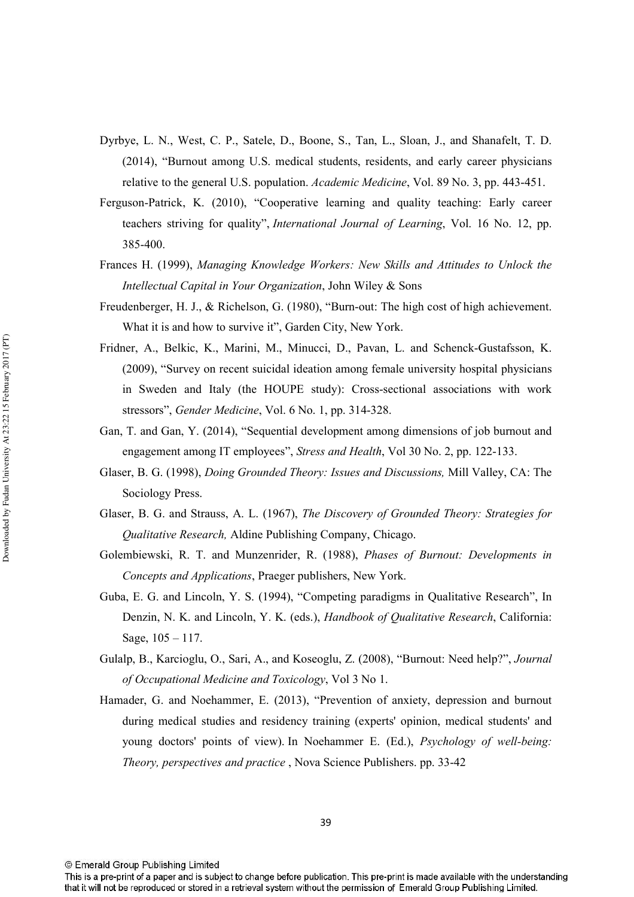- Dyrbye, L. N., West, C. P., Satele, D., Boone, S., Tan, L., Sloan, J., and Shanafelt, T. D. (2014), "Burnout among U.S. medical students, residents, and early career physicians relative to the general U.S. population. *Academic Medicine*, Vol. 89 No. 3, pp. 443-451.
- Ferguson-Patrick, K. (2010), "Cooperative learning and quality teaching: Early career teachers striving for quality", International Journal of Learning, Vol. 16 No. 12, pp. 385-400.
- Frances H. (1999), Managing Knowledge Workers: New Skills and Attitudes to Unlock the Intellectual Capital in Your Organization, John Wiley & Sons
- Freudenberger, H. J., & Richelson, G. (1980), "Burn-out: The high cost of high achievement. What it is and how to survive it", Garden City, New York.
- Fridner, A., Belkic, K., Marini, M., Minucci, D., Pavan, L. and Schenck-Gustafsson, K. (2009). "Survey on recent suicidal ideation among female university hospital physicians in Sweden and Italy (the HOUPE study): Cross-sectional associations with work stressors", Gender Medicine, Vol. 6 No. 1, pp. 314-328.
- Gan, T. and Gan, Y. (2014), "Sequential development among dimensions of job burnout and engagement among IT employees", *Stress and Health*, Vol 30 No. 2, pp. 122-133.
- Glaser, B. G. (1998), *Doing Grounded Theory: Issues and Discussions*, Mill Valley, CA: The Sociology Press.
- Glaser, B. G. and Strauss, A. L. (1967), The Discovery of Grounded Theory: Strategies for *Oualitative Research, Aldine Publishing Company, Chicago.*
- Golembiewski, R. T. and Munzenrider, R. (1988), Phases of Burnout: Developments in Concepts and Applications, Praeger publishers, New York.
- Guba, E. G. and Lincoln, Y. S. (1994), "Competing paradigms in Qualitative Research", In Denzin, N. K. and Lincoln, Y. K. (eds.), Handbook of Qualitative Research, California: Sage,  $105 - 117$ .
- Gulalp, B., Karcioglu, O., Sari, A., and Koseoglu, Z. (2008), "Burnout: Need help?", Journal of Occupational Medicine and Toxicology, Vol 3 No 1.
- Hamader, G. and Noehammer, E. (2013), "Prevention of anxiety, depression and burnout during medical studies and residency training (experts' opinion, medical students' and young doctors' points of view). In Noehammer E. (Ed.), *Psychology of well-being:* Theory, perspectives and practice, Nova Science Publishers. pp. 33-42

This is a pre-print of a paper and is subject to change before publication. This pre-print is made available with the understanding that it will not be reproduced or stored in a retrieval system without the permission of Emerald Group Publishing Limited.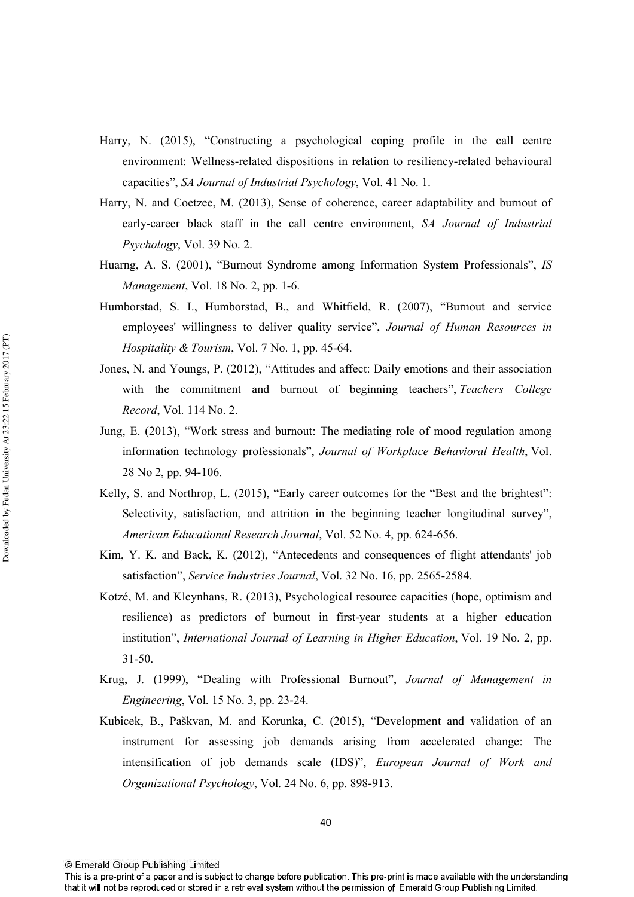- Harry, N. (2015), "Constructing a psychological coping profile in the call centre environment: Wellness-related dispositions in relation to resiliency-related behavioural capacities", SA Journal of Industrial Psychology, Vol. 41 No. 1.
- Harry, N. and Coetzee, M. (2013), Sense of coherence, career adaptability and burnout of early-career black staff in the call centre environment, SA Journal of Industrial Psychology, Vol. 39 No. 2.
- Huarng, A. S. (2001), "Burnout Syndrome among Information System Professionals", IS *Management*, Vol. 18 No. 2, pp. 1-6.
- Humborstad, S. I., Humborstad, B., and Whitfield, R. (2007), "Burnout and service employees' willingness to deliver quality service", Journal of Human Resources in *Hospitality & Tourism, Vol. 7 No. 1, pp. 45-64.*
- Jones, N, and Youngs, P, (2012), "Attitudes and affect: Daily emotions and their association with the commitment and burnout of beginning teachers", Teachers College Record, Vol. 114 No. 2.
- Jung, E. (2013), "Work stress and burnout: The mediating role of mood regulation among information technology professionals", Journal of Workplace Behavioral Health, Vol. 28 No 2, pp. 94-106.
- Kelly, S. and Northrop, L. (2015), "Early career outcomes for the "Best and the brightest": Selectivity, satisfaction, and attrition in the beginning teacher longitudinal survey", American Educational Research Journal, Vol. 52 No. 4, pp. 624-656.
- Kim, Y. K. and Back, K. (2012), "Antecedents and consequences of flight attendants' job satisfaction", Service Industries Journal, Vol. 32 No. 16, pp. 2565-2584.
- Kotzé, M. and Kleynhans, R. (2013), Psychological resource capacities (hope, optimism and resilience) as predictors of burnout in first-year students at a higher education institution", International Journal of Learning in Higher Education, Vol. 19 No. 2, pp.  $31 - 50$ .
- Krug, J. (1999), "Dealing with Professional Burnout", Journal of Management in *Engineering, Vol. 15 No. 3, pp. 23-24.*
- Kubicek, B., Paškvan, M. and Korunka, C. (2015), "Development and validation of an instrument for assessing job demands arising from accelerated change: The intensification of job demands scale (IDS)", European Journal of Work and Organizational Psychology, Vol. 24 No. 6, pp. 898-913.

<sup>©</sup> Emerald Group Publishing Limited

This is a pre-print of a paper and is subject to change before publication. This pre-print is made available with the understanding that it will not be reproduced or stored in a retrieval system without the permission of Emerald Group Publishing Limited.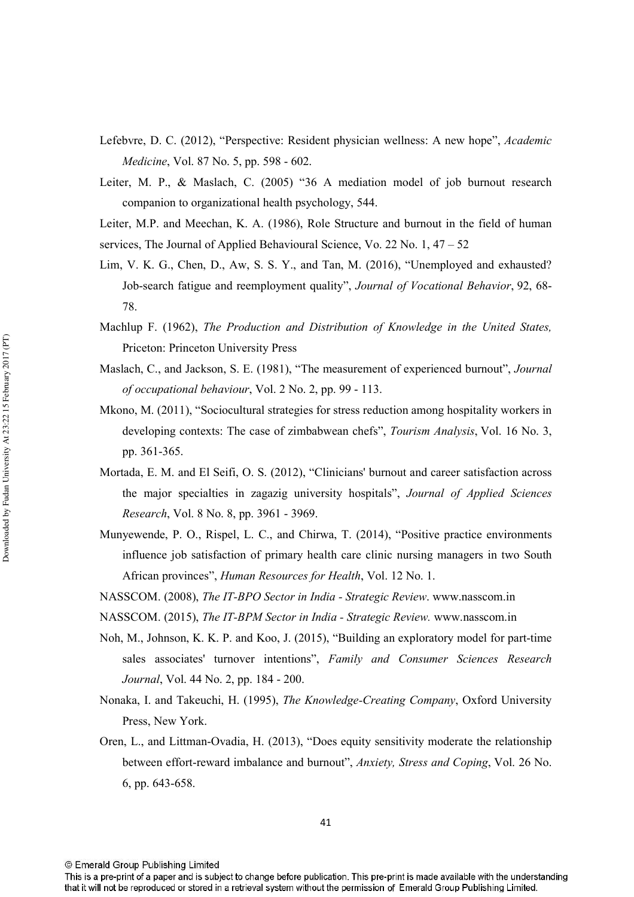- Lefebvre, D. C. (2012), "Perspective: Resident physician wellness: A new hope", Academic *Medicine*, Vol. 87 No. 5, pp. 598 - 602.
- Leiter, M. P., & Maslach, C. (2005) "36 A mediation model of job burnout research companion to organizational health psychology, 544.

Leiter, M.P. and Meechan, K. A. (1986), Role Structure and burnout in the field of human services, The Journal of Applied Behavioural Science, Vo. 22 No. 1, 47 – 52

- Lim, V. K. G., Chen, D., Aw, S. S. Y., and Tan, M. (2016), "Unemployed and exhausted? Job-search fatigue and reemployment quality", Journal of Vocational Behavior, 92, 68-78.
- Machlup F. (1962), The Production and Distribution of Knowledge in the United States, Priceton: Princeton University Press
- Maslach, C., and Jackson, S. E. (1981). "The measurement of experienced burnout", Journal of occupational behaviour, Vol. 2 No. 2, pp. 99 - 113.
- Mkono, M. (2011). "Sociocultural strategies for stress reduction among hospitality workers in developing contexts: The case of zimbabwean chefs", *Tourism Analysis*, Vol. 16 No. 3, pp. 361-365.
- Mortada, E. M. and El Seifi, O. S. (2012), "Clinicians' burnout and career satisfaction across the major specialties in zagazig university hospitals", Journal of Applied Sciences Research, Vol. 8 No. 8, pp. 3961 - 3969.
- Munyewende, P. O., Rispel, L. C., and Chirwa, T. (2014), "Positive practice environments influence job satisfaction of primary health care clinic nursing managers in two South African provinces", Human Resources for Health, Vol. 12 No. 1.
- NASSCOM. (2008), The IT-BPO Sector in India Strategic Review. www.nasscom.in
- NASSCOM. (2015), The IT-BPM Sector in India Strategic Review. www.nasscom.in
- Noh, M., Johnson, K. K. P. and Koo, J. (2015), "Building an exploratory model for part-time sales associates' turnover intentions", Family and Consumer Sciences Research Journal, Vol. 44 No. 2, pp. 184 - 200.
- Nonaka, I. and Takeuchi, H. (1995), The Knowledge-Creating Company, Oxford University Press, New York.
- Oren, L., and Littman-Ovadia, H. (2013), "Does equity sensitivity moderate the relationship between effort-reward imbalance and burnout", Anxiety, Stress and Coping, Vol. 26 No. 6, pp. 643-658.

<sup>©</sup> Emerald Group Publishing Limited

This is a pre-print of a paper and is subject to change before publication. This pre-print is made available with the understanding that it will not be reproduced or stored in a retrieval system without the permission of Emerald Group Publishing Limited.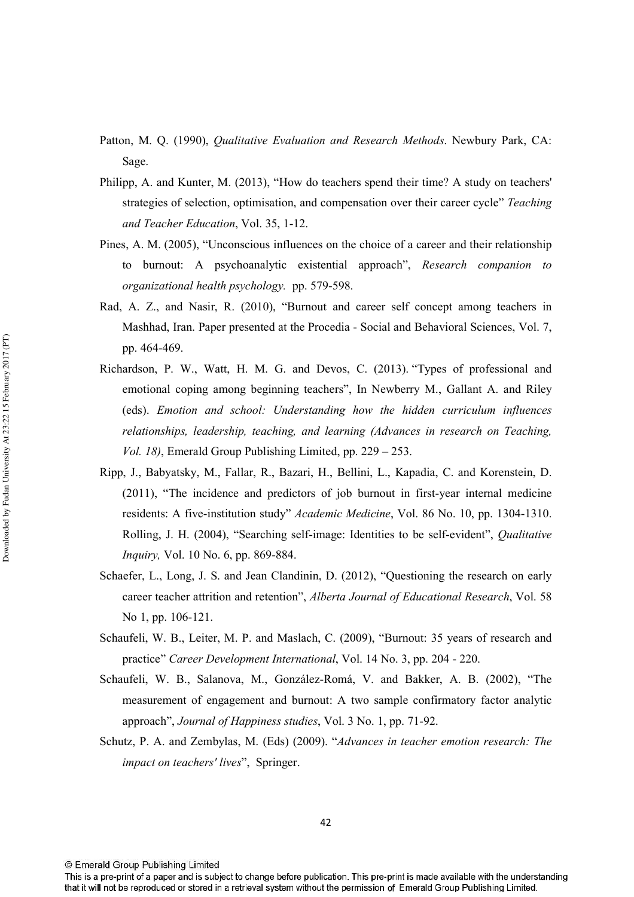- Patton, M. Q. (1990), Qualitative Evaluation and Research Methods. Newbury Park, CA: Sage.
- Philipp, A. and Kunter, M. (2013), "How do teachers spend their time? A study on teachers' strategies of selection, optimisation, and compensation over their career cycle" Teaching and Teacher Education, Vol. 35, 1-12.
- Pines, A. M. (2005), "Unconscious influences on the choice of a career and their relationship to burnout: A psychoanalytic existential approach", Research companion to organizational health psychology. pp. 579-598.
- Rad, A. Z., and Nasir, R. (2010), "Burnout and career self concept among teachers in Mashhad, Iran. Paper presented at the Procedia - Social and Behavioral Sciences, Vol. 7, pp. 464-469.
- Richardson, P. W., Watt, H. M. G. and Devos, C. (2013). "Types of professional and emotional coping among beginning teachers", In Newberry M., Gallant A. and Riley (eds). Emotion and school: Understanding how the hidden curriculum influences relationships, leadership, teaching, and learning (Advances in research on Teaching, *Vol. 18*), Emerald Group Publishing Limited, pp.  $229 - 253$ .
- Ripp, J., Babyatsky, M., Fallar, R., Bazari, H., Bellini, L., Kapadia, C. and Korenstein, D. (2011), "The incidence and predictors of job burnout in first-year internal medicine residents: A five-institution study" Academic Medicine, Vol. 86 No. 10, pp. 1304-1310. Rolling, J. H. (2004), "Searching self-image: Identities to be self-evident", *Oualitative* Inquiry, Vol. 10 No. 6, pp. 869-884.
- Schaefer, L., Long, J. S. and Jean Clandinin, D. (2012), "Questioning the research on early career teacher attrition and retention", Alberta Journal of Educational Research, Vol. 58 No 1, pp. 106-121.
- Schaufeli, W. B., Leiter, M. P. and Maslach, C. (2009), "Burnout: 35 years of research and practice" Career Development International, Vol. 14 No. 3, pp. 204 - 220.
- Schaufeli, W. B., Salanova, M., González-Romá, V. and Bakker, A. B. (2002), "The measurement of engagement and burnout: A two sample confirmatory factor analytic approach", Journal of Happiness studies, Vol. 3 No. 1, pp. 71-92.
- Schutz, P. A. and Zembylas, M. (Eds) (2009). "Advances in teacher emotion research: The *impact on teachers' lives"*, Springer.

© Emerald Group Publishing Limited

This is a pre-print of a paper and is subject to change before publication. This pre-print is made available with the understanding that it will not be reproduced or stored in a retrieval system without the permission of Emerald Group Publishing Limited.